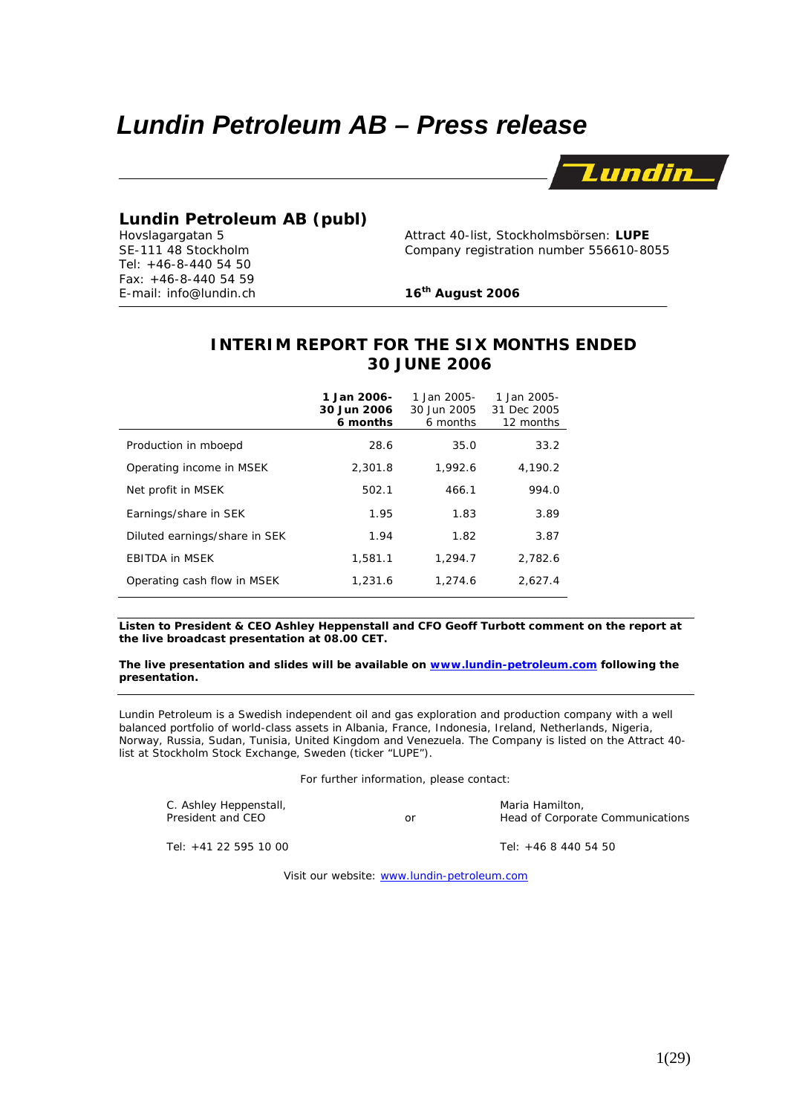# *Lundin Petroleum AB – Press release*



# **Lundin Petroleum AB (publ)**<br>
Hovslagargatan 5 Attract 40-list, Stockholmsbörsen: LUPE

Tel: +46-8-440 54 50 Fax: +46-8-440 54 59 E-mail: info@lundin.ch **16th August 2006**

-

SE-111 48 Stockholm Company registration number 556610-8055

# **INTERIM REPORT FOR THE SIX MONTHS ENDED 30 JUNE 2006**

|                               | 1 Jan 2006-<br>30 Jun 2006<br>6 months | 1 Jan 2005-<br>30 Jun 2005<br>6 months | 1 Jan 2005-<br>31 Dec 2005<br>12 months |
|-------------------------------|----------------------------------------|----------------------------------------|-----------------------------------------|
| Production in mboepd          | 28.6                                   | 35.0                                   | 33.2                                    |
| Operating income in MSEK      | 2.301.8                                | 1.992.6                                | 4,190.2                                 |
| Net profit in MSEK            | 502.1                                  | 466.1                                  | 994.0                                   |
| Earnings/share in SEK         | 1.95                                   | 1.83                                   | 3.89                                    |
| Diluted earnings/share in SEK | 1.94                                   | 1.82                                   | 3.87                                    |
| <b>EBITDA in MSEK</b>         | 1,581.1                                | 1.294.7                                | 2,782.6                                 |
| Operating cash flow in MSEK   | 1,231.6                                | 1.274.6                                | 2,627.4                                 |

**Listen to President & CEO Ashley Heppenstall and CFO Geoff Turbott comment on the report at the live broadcast presentation at 08.00 CET.** 

**The live presentation and slides will be available on www.lundin-petroleum.com following the presentation.** 

*Lundin Petroleum is a Swedish independent oil and gas exploration and production company with a well balanced portfolio of world-class assets in Albania, France, Indonesia, Ireland, Netherlands, Nigeria, Norway, Russia, Sudan, Tunisia, United Kingdom and Venezuela. The Company is listed on the Attract 40 list at Stockholm Stock Exchange, Sweden (ticker "LUPE").* 

For further information, please contact:

C. Ashley Heppenstall, The C. Ashley Heppenstall, The C. Ashley Heppenstall, Maria Hamilton, Maria Hamilton, The C. Ashley Head of Corporation, The C. Ashley Head of Corporation, The C. Ashley C. Ashley C. Ashley C. Ashley

or **President and America** Head of Corporate Communications

Tel: +41 22 595 10 00 Tel: +46 8 440 54 50

Visit our website: www.lundin-petroleum.com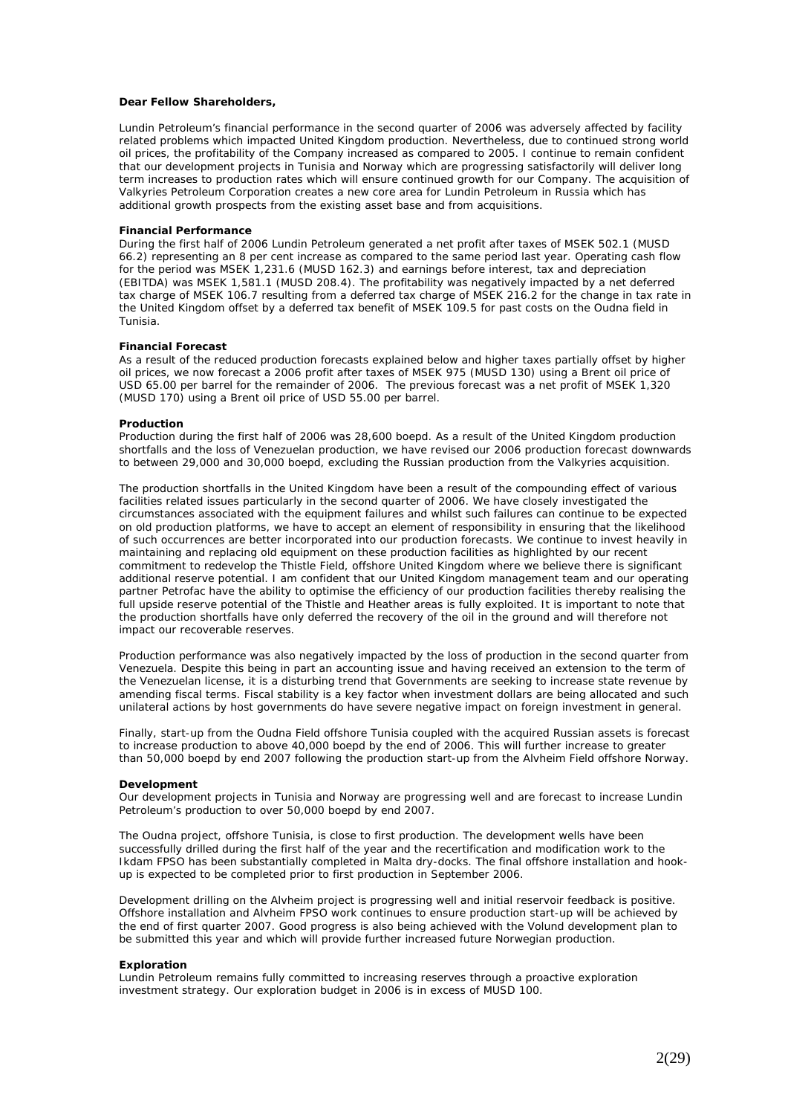#### **Dear Fellow Shareholders,**

Lundin Petroleum's financial performance in the second quarter of 2006 was adversely affected by facility related problems which impacted United Kingdom production. Nevertheless, due to continued strong world oil prices, the profitability of the Company increased as compared to 2005. I continue to remain confident that our development projects in Tunisia and Norway which are progressing satisfactorily will deliver long term increases to production rates which will ensure continued growth for our Company. The acquisition of Valkyries Petroleum Corporation creates a new core area for Lundin Petroleum in Russia which has additional growth prospects from the existing asset base and from acquisitions.

#### **Financial Performance**

During the first half of 2006 Lundin Petroleum generated a net profit after taxes of MSEK 502.1 (MUSD 66.2) representing an 8 per cent increase as compared to the same period last year. Operating cash flow for the period was MSEK 1,231.6 (MUSD 162.3) and earnings before interest, tax and depreciation (EBITDA) was MSEK 1,581.1 (MUSD 208.4). The profitability was negatively impacted by a net deferred tax charge of MSEK 106.7 resulting from a deferred tax charge of MSEK 216.2 for the change in tax rate in the United Kingdom offset by a deferred tax benefit of MSEK 109.5 for past costs on the Oudna field in Tunisia.

#### **Financial Forecast**

As a result of the reduced production forecasts explained below and higher taxes partially offset by higher oil prices, we now forecast a 2006 profit after taxes of MSEK 975 (MUSD 130) using a Brent oil price of USD 65.00 per barrel for the remainder of 2006. The previous forecast was a net profit of MSEK 1,320 (MUSD 170) using a Brent oil price of USD 55.00 per barrel.

#### **Production**

Production during the first half of 2006 was 28,600 boepd. As a result of the United Kingdom production shortfalls and the loss of Venezuelan production, we have revised our 2006 production forecast downwards to between 29,000 and 30,000 boepd, excluding the Russian production from the Valkyries acquisition.

The production shortfalls in the United Kingdom have been a result of the compounding effect of various facilities related issues particularly in the second quarter of 2006. We have closely investigated the circumstances associated with the equipment failures and whilst such failures can continue to be expected on old production platforms, we have to accept an element of responsibility in ensuring that the likelihood of such occurrences are better incorporated into our production forecasts. We continue to invest heavily in maintaining and replacing old equipment on these production facilities as highlighted by our recent commitment to redevelop the Thistle Field, offshore United Kingdom where we believe there is significant additional reserve potential. I am confident that our United Kingdom management team and our operating partner Petrofac have the ability to optimise the efficiency of our production facilities thereby realising the full upside reserve potential of the Thistle and Heather areas is fully exploited. It is important to note that the production shortfalls have only deferred the recovery of the oil in the ground and will therefore not impact our recoverable reserves.

Production performance was also negatively impacted by the loss of production in the second quarter from Venezuela. Despite this being in part an accounting issue and having received an extension to the term of the Venezuelan license, it is a disturbing trend that Governments are seeking to increase state revenue by amending fiscal terms. Fiscal stability is a key factor when investment dollars are being allocated and such unilateral actions by host governments do have severe negative impact on foreign investment in general.

Finally, start-up from the Oudna Field offshore Tunisia coupled with the acquired Russian assets is forecast to increase production to above 40,000 boepd by the end of 2006. This will further increase to greater than 50,000 boepd by end 2007 following the production start-up from the Alvheim Field offshore Norway.

#### **Development**

Our development projects in Tunisia and Norway are progressing well and are forecast to increase Lundin Petroleum's production to over 50,000 boepd by end 2007.

The Oudna project, offshore Tunisia, is close to first production. The development wells have been successfully drilled during the first half of the year and the recertification and modification work to the Ikdam FPSO has been substantially completed in Malta dry-docks. The final offshore installation and hookup is expected to be completed prior to first production in September 2006.

Development drilling on the Alvheim project is progressing well and initial reservoir feedback is positive. Offshore installation and Alvheim FPSO work continues to ensure production start-up will be achieved by the end of first quarter 2007. Good progress is also being achieved with the Volund development plan to be submitted this year and which will provide further increased future Norwegian production.

#### **Exploration**

Lundin Petroleum remains fully committed to increasing reserves through a proactive exploration investment strategy. Our exploration budget in 2006 is in excess of MUSD 100.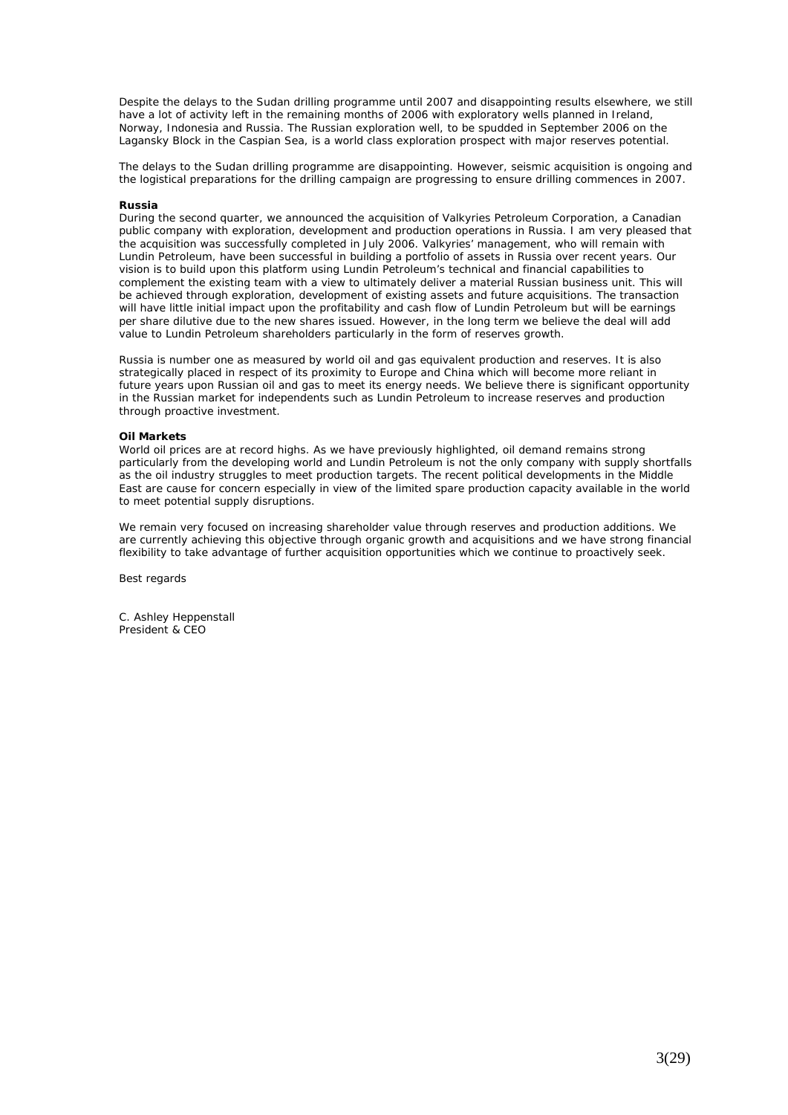Despite the delays to the Sudan drilling programme until 2007 and disappointing results elsewhere, we still have a lot of activity left in the remaining months of 2006 with exploratory wells planned in Ireland, Norway, Indonesia and Russia. The Russian exploration well, to be spudded in September 2006 on the Lagansky Block in the Caspian Sea, is a world class exploration prospect with major reserves potential.

The delays to the Sudan drilling programme are disappointing. However, seismic acquisition is ongoing and the logistical preparations for the drilling campaign are progressing to ensure drilling commences in 2007.

#### **Russia**

During the second quarter, we announced the acquisition of Valkyries Petroleum Corporation, a Canadian public company with exploration, development and production operations in Russia. I am very pleased that the acquisition was successfully completed in July 2006. Valkyries' management, who will remain with Lundin Petroleum, have been successful in building a portfolio of assets in Russia over recent years. Our vision is to build upon this platform using Lundin Petroleum's technical and financial capabilities to complement the existing team with a view to ultimately deliver a material Russian business unit. This will be achieved through exploration, development of existing assets and future acquisitions. The transaction will have little initial impact upon the profitability and cash flow of Lundin Petroleum but will be earnings per share dilutive due to the new shares issued. However, in the long term we believe the deal will add value to Lundin Petroleum shareholders particularly in the form of reserves growth.

Russia is number one as measured by world oil and gas equivalent production and reserves. It is also strategically placed in respect of its proximity to Europe and China which will become more reliant in future years upon Russian oil and gas to meet its energy needs. We believe there is significant opportunity in the Russian market for independents such as Lundin Petroleum to increase reserves and production through proactive investment.

#### **Oil Markets**

World oil prices are at record highs. As we have previously highlighted, oil demand remains strong particularly from the developing world and Lundin Petroleum is not the only company with supply shortfalls as the oil industry struggles to meet production targets. The recent political developments in the Middle East are cause for concern especially in view of the limited spare production capacity available in the world to meet potential supply disruptions.

We remain very focused on increasing shareholder value through reserves and production additions. We are currently achieving this objective through organic growth and acquisitions and we have strong financial flexibility to take advantage of further acquisition opportunities which we continue to proactively seek.

Best regards

C. Ashley Heppenstall President & CEO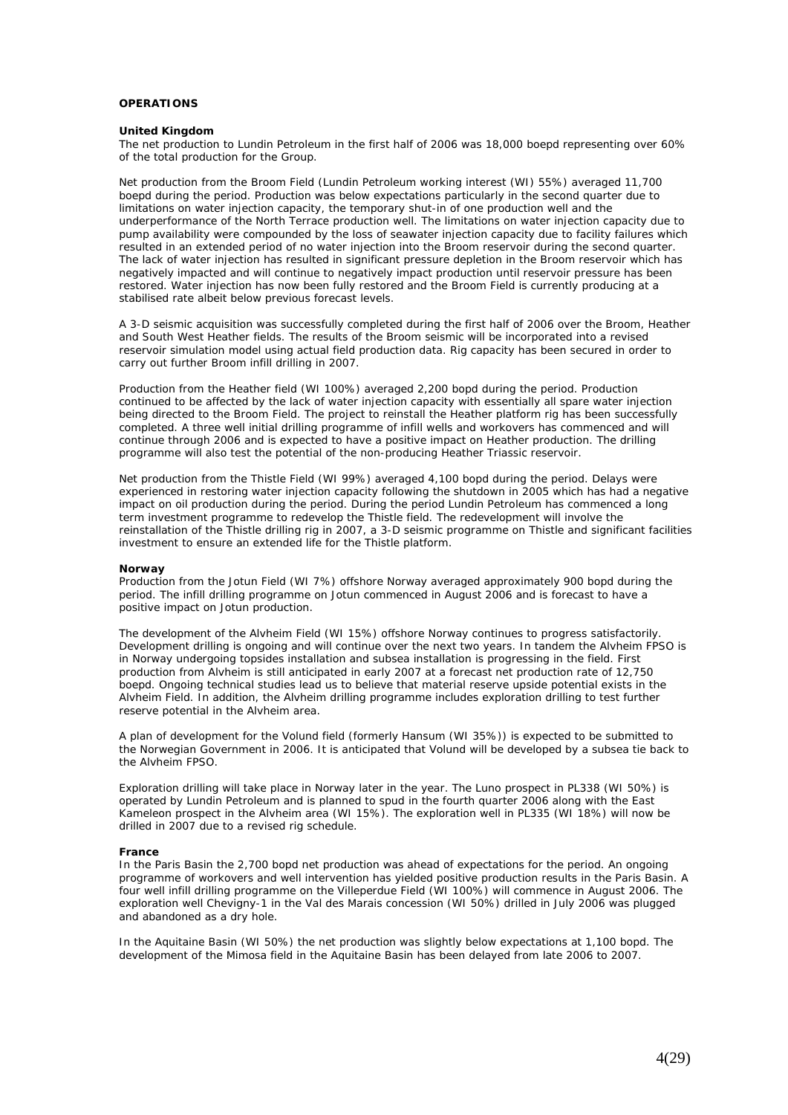#### **OPERATIONS**

#### **United Kingdom**

The net production to Lundin Petroleum in the first half of 2006 was 18,000 boepd representing over 60% of the total production for the Group.

Net production from the Broom Field (Lundin Petroleum working interest (WI) 55%) averaged 11,700 boepd during the period. Production was below expectations particularly in the second quarter due to limitations on water injection capacity, the temporary shut-in of one production well and the underperformance of the North Terrace production well. The limitations on water injection capacity due to pump availability were compounded by the loss of seawater injection capacity due to facility failures which resulted in an extended period of no water injection into the Broom reservoir during the second quarter. The lack of water injection has resulted in significant pressure depletion in the Broom reservoir which has negatively impacted and will continue to negatively impact production until reservoir pressure has been restored. Water injection has now been fully restored and the Broom Field is currently producing at a stabilised rate albeit below previous forecast levels.

A 3-D seismic acquisition was successfully completed during the first half of 2006 over the Broom, Heather and South West Heather fields. The results of the Broom seismic will be incorporated into a revised reservoir simulation model using actual field production data. Rig capacity has been secured in order to carry out further Broom infill drilling in 2007.

Production from the Heather field (WI 100%) averaged 2,200 bopd during the period. Production continued to be affected by the lack of water injection capacity with essentially all spare water injection being directed to the Broom Field. The project to reinstall the Heather platform rig has been successfully completed. A three well initial drilling programme of infill wells and workovers has commenced and will continue through 2006 and is expected to have a positive impact on Heather production. The drilling programme will also test the potential of the non-producing Heather Triassic reservoir.

Net production from the Thistle Field (WI 99%) averaged 4,100 bopd during the period. Delays were experienced in restoring water injection capacity following the shutdown in 2005 which has had a negative impact on oil production during the period. During the period Lundin Petroleum has commenced a long term investment programme to redevelop the Thistle field. The redevelopment will involve the reinstallation of the Thistle drilling rig in 2007, a 3-D seismic programme on Thistle and significant facilities investment to ensure an extended life for the Thistle platform.

#### **Norway**

Production from the Jotun Field (WI 7%) offshore Norway averaged approximately 900 bopd during the period. The infill drilling programme on Jotun commenced in August 2006 and is forecast to have a positive impact on Jotun production.

The development of the Alvheim Field (WI 15%) offshore Norway continues to progress satisfactorily. Development drilling is ongoing and will continue over the next two years. In tandem the Alvheim FPSO is in Norway undergoing topsides installation and subsea installation is progressing in the field. First production from Alvheim is still anticipated in early 2007 at a forecast net production rate of 12,750 boepd. Ongoing technical studies lead us to believe that material reserve upside potential exists in the Alvheim Field. In addition, the Alvheim drilling programme includes exploration drilling to test further reserve potential in the Alvheim area.

A plan of development for the Volund field (formerly Hansum (WI 35%)) is expected to be submitted to the Norwegian Government in 2006. It is anticipated that Volund will be developed by a subsea tie back to the Alvheim FPSO.

Exploration drilling will take place in Norway later in the year. The Luno prospect in PL338 (WI 50%) is operated by Lundin Petroleum and is planned to spud in the fourth quarter 2006 along with the East Kameleon prospect in the Alvheim area (WI 15%). The exploration well in PL335 (WI 18%) will now be drilled in 2007 due to a revised rig schedule.

#### **France**

In the Paris Basin the 2,700 bopd net production was ahead of expectations for the period. An ongoing programme of workovers and well intervention has yielded positive production results in the Paris Basin. A four well infill drilling programme on the Villeperdue Field (WI 100%) will commence in August 2006. The exploration well Chevigny-1 in the Val des Marais concession (WI 50%) drilled in July 2006 was plugged and abandoned as a dry hole.

In the Aquitaine Basin (WI 50%) the net production was slightly below expectations at 1,100 bopd. The development of the Mimosa field in the Aquitaine Basin has been delayed from late 2006 to 2007.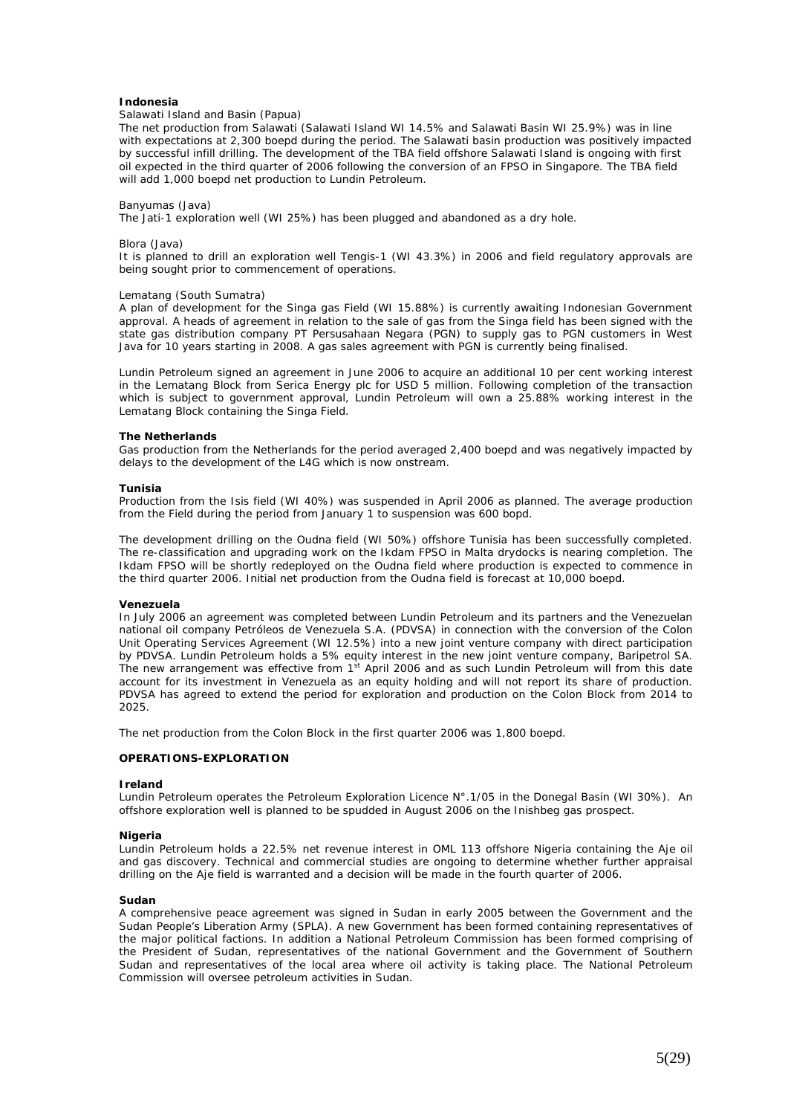#### **Indonesia**

# *Salawati Island and Basin (Papua)*

The net production from Salawati (Salawati Island WI 14.5% and Salawati Basin WI 25.9%) was in line with expectations at 2,300 boepd during the period. The Salawati basin production was positively impacted by successful infill drilling. The development of the TBA field offshore Salawati Island is ongoing with first oil expected in the third quarter of 2006 following the conversion of an FPSO in Singapore. The TBA field will add 1,000 boepd net production to Lundin Petroleum.

#### *Banyumas (Java)*

The Jati-1 exploration well (WI 25%) has been plugged and abandoned as a dry hole.

#### Blora (Java)

It is planned to drill an exploration well Tengis-1 (WI 43.3%) in 2006 and field regulatory approvals are being sought prior to commencement of operations.

#### *Lematang (South Sumatra)*

A plan of development for the Singa gas Field (WI 15.88%) is currently awaiting Indonesian Government approval. A heads of agreement in relation to the sale of gas from the Singa field has been signed with the state gas distribution company PT Persusahaan Negara (PGN) to supply gas to PGN customers in West Java for 10 years starting in 2008. A gas sales agreement with PGN is currently being finalised.

Lundin Petroleum signed an agreement in June 2006 to acquire an additional 10 per cent working interest in the Lematang Block from Serica Energy plc for USD 5 million. Following completion of the transaction which is subject to government approval, Lundin Petroleum will own a 25.88% working interest in the Lematang Block containing the Singa Field.

#### **The Netherlands**

Gas production from the Netherlands for the period averaged 2,400 boepd and was negatively impacted by delays to the development of the L4G which is now onstream.

#### **Tunisia**

Production from the Isis field (WI 40%) was suspended in April 2006 as planned. The average production from the Field during the period from January 1 to suspension was 600 bopd.

The development drilling on the Oudna field (WI 50%) offshore Tunisia has been successfully completed. The re-classification and upgrading work on the Ikdam FPSO in Malta drydocks is nearing completion. The Ikdam FPSO will be shortly redeployed on the Oudna field where production is expected to commence in the third quarter 2006. Initial net production from the Oudna field is forecast at 10,000 boepd.

#### **Venezuela**

In July 2006 an agreement was completed between Lundin Petroleum and its partners and the Venezuelan national oil company Petróleos de Venezuela S.A. (PDVSA) in connection with the conversion of the Colon Unit Operating Services Agreement (WI 12.5%) into a new joint venture company with direct participation by PDVSA. Lundin Petroleum holds a 5% equity interest in the new joint venture company, Baripetrol SA. The new arrangement was effective from 1<sup>st</sup> April 2006 and as such Lundin Petroleum will from this date account for its investment in Venezuela as an equity holding and will not report its share of production. PDVSA has agreed to extend the period for exploration and production on the Colon Block from 2014 to 2025.

The net production from the Colon Block in the first quarter 2006 was 1,800 boepd.

#### **OPERATIONS-EXPLORATION**

#### **Ireland**

Lundin Petroleum operates the Petroleum Exploration Licence N°.1/05 in the Donegal Basin (WI 30%). An offshore exploration well is planned to be spudded in August 2006 on the Inishbeg gas prospect.

#### **Nigeria**

Lundin Petroleum holds a 22.5% net revenue interest in OML 113 offshore Nigeria containing the Aje oil and gas discovery. Technical and commercial studies are ongoing to determine whether further appraisal drilling on the Aje field is warranted and a decision will be made in the fourth quarter of 2006.

#### **Sudan**

A comprehensive peace agreement was signed in Sudan in early 2005 between the Government and the Sudan People's Liberation Army (SPLA). A new Government has been formed containing representatives of the major political factions. In addition a National Petroleum Commission has been formed comprising of the President of Sudan, representatives of the national Government and the Government of Southern Sudan and representatives of the local area where oil activity is taking place. The National Petroleum Commission will oversee petroleum activities in Sudan.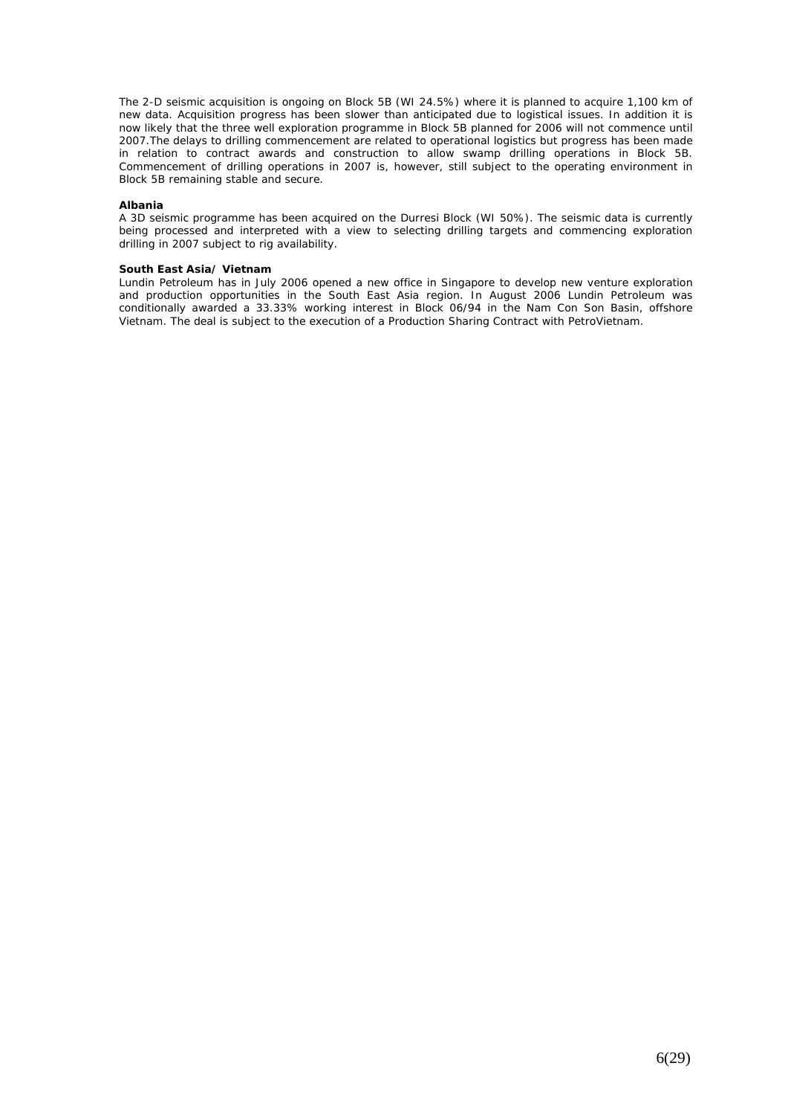The 2-D seismic acquisition is ongoing on Block 5B (WI 24.5%) where it is planned to acquire 1,100 km of new data. Acquisition progress has been slower than anticipated due to logistical issues. In addition it is now likely that the three well exploration programme in Block 5B planned for 2006 will not commence until 2007.The delays to drilling commencement are related to operational logistics but progress has been made in relation to contract awards and construction to allow swamp drilling operations in Block 5B. Commencement of drilling operations in 2007 is, however, still subject to the operating environment in Block 5B remaining stable and secure.

#### **Albania**

A 3D seismic programme has been acquired on the Durresi Block (WI 50%). The seismic data is currently being processed and interpreted with a view to selecting drilling targets and commencing exploration drilling in 2007 subject to rig availability.

#### **South East Asia/ Vietnam**

Lundin Petroleum has in July 2006 opened a new office in Singapore to develop new venture exploration and production opportunities in the South East Asia region. In August 2006 Lundin Petroleum was conditionally awarded a 33.33% working interest in Block 06/94 in the Nam Con Son Basin, offshore Vietnam. The deal is subject to the execution of a Production Sharing Contract with PetroVietnam.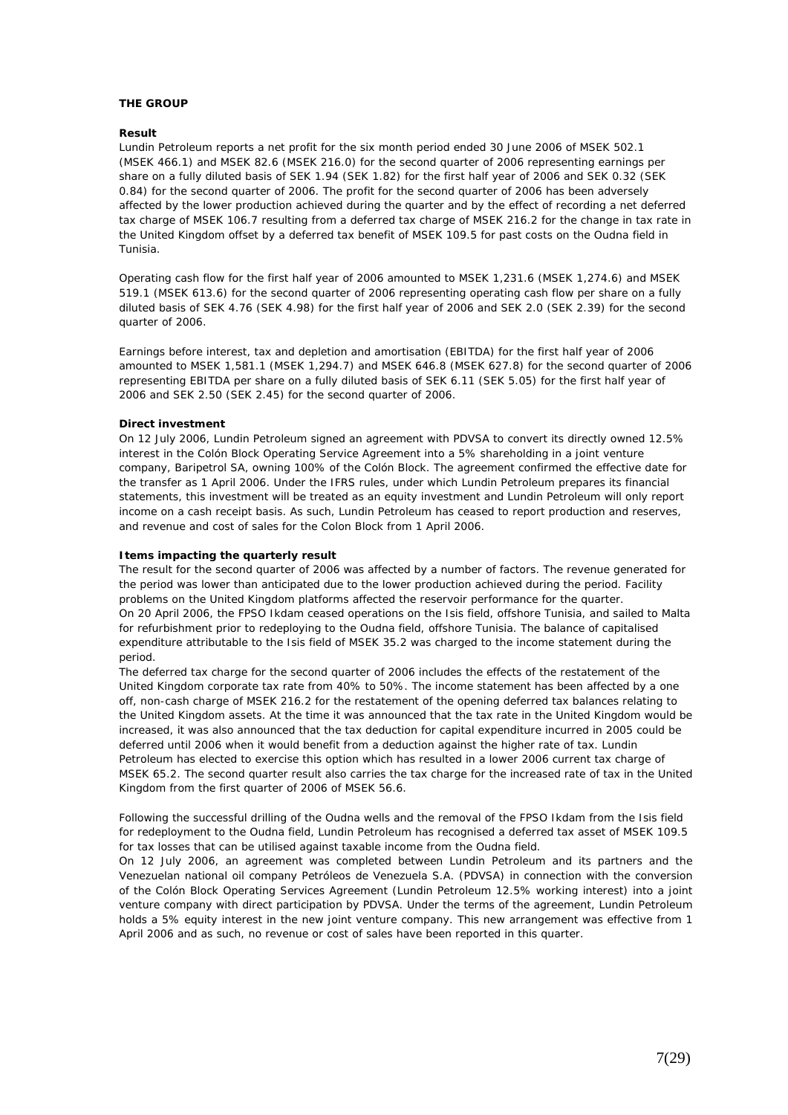#### **THE GROUP**

#### **Result**

Lundin Petroleum reports a net profit for the six month period ended 30 June 2006 of MSEK 502.1 (MSEK 466.1) and MSEK 82.6 (MSEK 216.0) for the second quarter of 2006 representing earnings per share on a fully diluted basis of SEK 1.94 (SEK 1.82) for the first half year of 2006 and SEK 0.32 (SEK 0.84) for the second quarter of 2006. The profit for the second quarter of 2006 has been adversely affected by the lower production achieved during the quarter and by the effect of recording a net deferred tax charge of MSEK 106.7 resulting from a deferred tax charge of MSEK 216.2 for the change in tax rate in the United Kingdom offset by a deferred tax benefit of MSEK 109.5 for past costs on the Oudna field in Tunisia.

Operating cash flow for the first half year of 2006 amounted to MSEK 1,231.6 (MSEK 1,274.6) and MSEK 519.1 (MSEK 613.6) for the second quarter of 2006 representing operating cash flow per share on a fully diluted basis of SEK 4.76 (SEK 4.98) for the first half year of 2006 and SEK 2.0 (SEK 2.39) for the second quarter of 2006.

Earnings before interest, tax and depletion and amortisation (EBITDA) for the first half year of 2006 amounted to MSEK 1,581.1 (MSEK 1,294.7) and MSEK 646.8 (MSEK 627.8) for the second quarter of 2006 representing EBITDA per share on a fully diluted basis of SEK 6.11 (SEK 5.05) for the first half year of 2006 and SEK 2.50 (SEK 2.45) for the second quarter of 2006.

#### **Direct investment**

On 12 July 2006, Lundin Petroleum signed an agreement with PDVSA to convert its directly owned 12.5% interest in the Colón Block Operating Service Agreement into a 5% shareholding in a joint venture company, Baripetrol SA, owning 100% of the Colón Block. The agreement confirmed the effective date for the transfer as 1 April 2006. Under the IFRS rules, under which Lundin Petroleum prepares its financial statements, this investment will be treated as an equity investment and Lundin Petroleum will only report income on a cash receipt basis. As such, Lundin Petroleum has ceased to report production and reserves, and revenue and cost of sales for the Colon Block from 1 April 2006.

#### **Items impacting the quarterly result**

The result for the second quarter of 2006 was affected by a number of factors. The revenue generated for the period was lower than anticipated due to the lower production achieved during the period. Facility problems on the United Kingdom platforms affected the reservoir performance for the quarter. On 20 April 2006, the FPSO Ikdam ceased operations on the Isis field, offshore Tunisia, and sailed to Malta for refurbishment prior to redeploying to the Oudna field, offshore Tunisia. The balance of capitalised expenditure attributable to the Isis field of MSEK 35.2 was charged to the income statement during the period.

The deferred tax charge for the second quarter of 2006 includes the effects of the restatement of the United Kingdom corporate tax rate from 40% to 50%. The income statement has been affected by a one off, non-cash charge of MSEK 216.2 for the restatement of the opening deferred tax balances relating to the United Kingdom assets. At the time it was announced that the tax rate in the United Kingdom would be increased, it was also announced that the tax deduction for capital expenditure incurred in 2005 could be deferred until 2006 when it would benefit from a deduction against the higher rate of tax. Lundin Petroleum has elected to exercise this option which has resulted in a lower 2006 current tax charge of MSEK 65.2. The second quarter result also carries the tax charge for the increased rate of tax in the United Kingdom from the first quarter of 2006 of MSEK 56.6.

Following the successful drilling of the Oudna wells and the removal of the FPSO Ikdam from the Isis field for redeployment to the Oudna field, Lundin Petroleum has recognised a deferred tax asset of MSEK 109.5 for tax losses that can be utilised against taxable income from the Oudna field.

On 12 July 2006, an agreement was completed between Lundin Petroleum and its partners and the Venezuelan national oil company Petróleos de Venezuela S.A. (PDVSA) in connection with the conversion of the Colón Block Operating Services Agreement (Lundin Petroleum 12.5% working interest) into a joint venture company with direct participation by PDVSA. Under the terms of the agreement, Lundin Petroleum holds a 5% equity interest in the new joint venture company. This new arrangement was effective from 1 April 2006 and as such, no revenue or cost of sales have been reported in this quarter.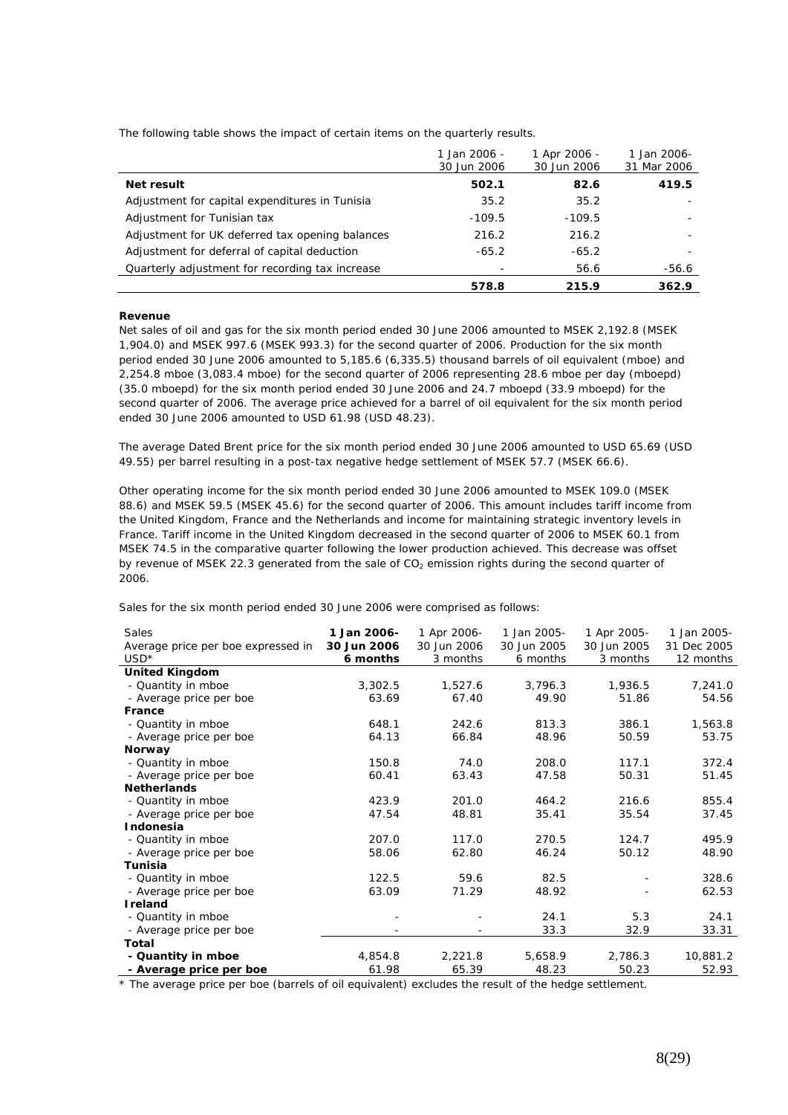The following table shows the impact of certain items on the quarterly results.

|                                                 | 1 Jan 2006 -<br>30 Jun 2006 | 1 Apr 2006 -<br>30 Jun 2006 | 1 Jan 2006-<br>31 Mar 2006 |
|-------------------------------------------------|-----------------------------|-----------------------------|----------------------------|
| Net result                                      | 502.1                       | 82.6                        | 419.5                      |
| Adjustment for capital expenditures in Tunisia  | 35.2                        | 35.2                        |                            |
| Adjustment for Tunisian tax                     | $-109.5$                    | $-109.5$                    |                            |
| Adjustment for UK deferred tax opening balances | 216.2                       | 216.2                       |                            |
| Adjustment for deferral of capital deduction    | $-65.2$                     | $-65.2$                     |                            |
| Quarterly adjustment for recording tax increase |                             | 56.6                        | -56.6                      |
|                                                 | 578.8                       | 215.9                       | 362.9                      |

#### **Revenue**

Net sales of oil and gas for the six month period ended 30 June 2006 amounted to MSEK 2,192.8 (MSEK 1,904.0) and MSEK 997.6 (MSEK 993.3) for the second quarter of 2006. Production for the six month period ended 30 June 2006 amounted to 5,185.6 (6,335.5) thousand barrels of oil equivalent (mboe) and 2,254.8 mboe (3,083.4 mboe) for the second quarter of 2006 representing 28.6 mboe per day (mboepd) (35.0 mboepd) for the six month period ended 30 June 2006 and 24.7 mboepd (33.9 mboepd) for the second quarter of 2006. The average price achieved for a barrel of oil equivalent for the six month period ended 30 June 2006 amounted to USD 61.98 (USD 48.23).

The average Dated Brent price for the six month period ended 30 June 2006 amounted to USD 65.69 (USD 49.55) per barrel resulting in a post-tax negative hedge settlement of MSEK 57.7 (MSEK 66.6).

Other operating income for the six month period ended 30 June 2006 amounted to MSEK 109.0 (MSEK 88.6) and MSEK 59.5 (MSEK 45.6) for the second quarter of 2006. This amount includes tariff income from the United Kingdom, France and the Netherlands and income for maintaining strategic inventory levels in France. Tariff income in the United Kingdom decreased in the second quarter of 2006 to MSEK 60.1 from MSEK 74.5 in the comparative quarter following the lower production achieved. This decrease was offset by revenue of MSEK 22.3 generated from the sale of  $CO<sub>2</sub>$  emission rights during the second quarter of 2006.

Sales for the six month period ended 30 June 2006 were comprised as follows:

| Sales                              | 1 Jan 2006- | 1 Apr 2006- | 1 Jan 2005- | 1 Apr 2005- | 1 Jan 2005- |
|------------------------------------|-------------|-------------|-------------|-------------|-------------|
| Average price per boe expressed in | 30 Jun 2006 | 30 Jun 2006 | 30 Jun 2005 | 30 Jun 2005 | 31 Dec 2005 |
| $USD*$                             | 6 months    | 3 months    | 6 months    | 3 months    | 12 months   |
| <b>United Kingdom</b>              |             |             |             |             |             |
| - Quantity in mboe                 | 3,302.5     | 1,527.6     | 3,796.3     | 1,936.5     | 7,241.0     |
| - Average price per boe            | 63.69       | 67.40       | 49.90       | 51.86       | 54.56       |
| France                             |             |             |             |             |             |
| - Quantity in mboe                 | 648.1       | 242.6       | 813.3       | 386.1       | 1,563.8     |
| - Average price per boe            | 64.13       | 66.84       | 48.96       | 50.59       | 53.75       |
| Norway                             |             |             |             |             |             |
| - Quantity in mboe                 | 150.8       | 74.0        | 208.0       | 117.1       | 372.4       |
| - Average price per boe            | 60.41       | 63.43       | 47.58       | 50.31       | 51.45       |
| <b>Netherlands</b>                 |             |             |             |             |             |
| - Quantity in mboe                 | 423.9       | 201.0       | 464.2       | 216.6       | 855.4       |
| - Average price per boe            | 47.54       | 48.81       | 35.41       | 35.54       | 37.45       |
| Indonesia                          |             |             |             |             |             |
| - Quantity in mboe                 | 207.0       | 117.0       | 270.5       | 124.7       | 495.9       |
| - Average price per boe            | 58.06       | 62.80       | 46.24       | 50.12       | 48.90       |
| <b>Tunisia</b>                     |             |             |             |             |             |
| - Quantity in mboe                 | 122.5       | 59.6        | 82.5        |             | 328.6       |
| - Average price per boe            | 63.09       | 71.29       | 48.92       |             | 62.53       |
| <b>I</b> reland                    |             |             |             |             |             |
| - Quantity in mboe                 |             |             | 24.1        | 5.3         | 24.1        |
| - Average price per boe            |             |             | 33.3        | 32.9        | 33.31       |
| Total                              |             |             |             |             |             |
| - Quantity in mboe                 | 4,854.8     | 2,221.8     | 5,658.9     | 2,786.3     | 10,881.2    |
| - Average price per boe            | 61.98       | 65.39       | 48.23       | 50.23       | 52.93       |

\* The average price per boe (barrels of oil equivalent) excludes the result of the hedge settlement.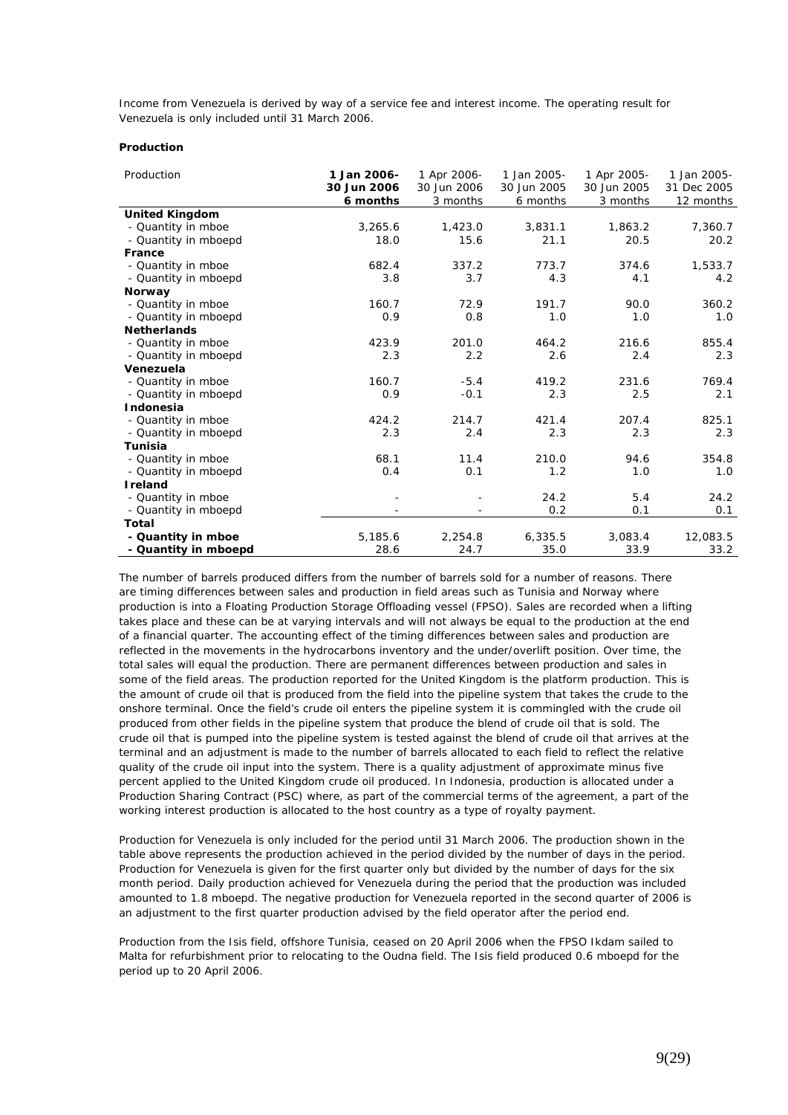Income from Venezuela is derived by way of a service fee and interest income. The operating result for Venezuela is only included until 31 March 2006.

#### **Production**

| Production            | 1 Jan 2006- | 1 Apr 2006- | 1 Jan 2005- | 1 Apr 2005- | 1 Jan 2005- |
|-----------------------|-------------|-------------|-------------|-------------|-------------|
|                       | 30 Jun 2006 | 30 Jun 2006 | 30 Jun 2005 | 30 Jun 2005 | 31 Dec 2005 |
|                       | 6 months    | 3 months    | 6 months    | 3 months    | 12 months   |
| <b>United Kingdom</b> |             |             |             |             |             |
| - Quantity in mboe    | 3,265.6     | 1,423.0     | 3,831.1     | 1,863.2     | 7,360.7     |
| - Quantity in mboepd  | 18.0        | 15.6        | 21.1        | 20.5        | 20.2        |
| France                |             |             |             |             |             |
| - Quantity in mboe    | 682.4       | 337.2       | 773.7       | 374.6       | 1,533.7     |
| - Quantity in mboepd  | 3.8         | 3.7         | 4.3         | 4.1         | 4.2         |
| Norway                |             |             |             |             |             |
| - Quantity in mboe    | 160.7       | 72.9        | 191.7       | 90.0        | 360.2       |
| - Quantity in mboepd  | 0.9         | 0.8         | 1.0         | 1.0         | 1.0         |
| <b>Netherlands</b>    |             |             |             |             |             |
| - Quantity in mboe    | 423.9       | 201.0       | 464.2       | 216.6       | 855.4       |
| - Quantity in mboepd  | 2.3         | 2.2         | 2.6         | 2.4         | 2.3         |
| Venezuela             |             |             |             |             |             |
| - Quantity in mboe    | 160.7       | $-5.4$      | 419.2       | 231.6       | 769.4       |
| - Quantity in mboepd  | 0.9         | $-0.1$      | 2.3         | 2.5         | 2.1         |
| <b>Indonesia</b>      |             |             |             |             |             |
| - Quantity in mboe    | 424.2       | 214.7       | 421.4       | 207.4       | 825.1       |
| - Quantity in mboepd  | 2.3         | 2.4         | 2.3         | 2.3         | 2.3         |
| <b>Tunisia</b>        |             |             |             |             |             |
| - Quantity in mboe    | 68.1        | 11.4        | 210.0       | 94.6        | 354.8       |
| - Quantity in mboepd  | 0.4         | 0.1         | 1.2         | 1.0         | 1.0         |
| <b>I</b> reland       |             |             |             |             |             |
| - Quantity in mboe    |             |             | 24.2        | 5.4         | 24.2        |
| - Quantity in mboepd  |             |             | 0.2         | 0.1         | 0.1         |
| Total                 |             |             |             |             |             |
| - Quantity in mboe    | 5,185.6     | 2,254.8     | 6,335.5     | 3,083.4     | 12,083.5    |
| - Quantity in mboepd  | 28.6        | 24.7        | 35.0        | 33.9        | 33.2        |

The number of barrels produced differs from the number of barrels sold for a number of reasons. There are timing differences between sales and production in field areas such as Tunisia and Norway where production is into a Floating Production Storage Offloading vessel (FPSO). Sales are recorded when a lifting takes place and these can be at varying intervals and will not always be equal to the production at the end of a financial quarter. The accounting effect of the timing differences between sales and production are reflected in the movements in the hydrocarbons inventory and the under/overlift position. Over time, the total sales will equal the production. There are permanent differences between production and sales in some of the field areas. The production reported for the United Kingdom is the platform production. This is the amount of crude oil that is produced from the field into the pipeline system that takes the crude to the onshore terminal. Once the field's crude oil enters the pipeline system it is commingled with the crude oil produced from other fields in the pipeline system that produce the blend of crude oil that is sold. The crude oil that is pumped into the pipeline system is tested against the blend of crude oil that arrives at the terminal and an adjustment is made to the number of barrels allocated to each field to reflect the relative quality of the crude oil input into the system. There is a quality adjustment of approximate minus five percent applied to the United Kingdom crude oil produced. In Indonesia, production is allocated under a Production Sharing Contract (PSC) where, as part of the commercial terms of the agreement, a part of the working interest production is allocated to the host country as a type of royalty payment.

Production for Venezuela is only included for the period until 31 March 2006. The production shown in the table above represents the production achieved in the period divided by the number of days in the period. Production for Venezuela is given for the first quarter only but divided by the number of days for the six month period. Daily production achieved for Venezuela during the period that the production was included amounted to 1.8 mboepd. The negative production for Venezuela reported in the second quarter of 2006 is an adjustment to the first quarter production advised by the field operator after the period end.

Production from the Isis field, offshore Tunisia, ceased on 20 April 2006 when the FPSO Ikdam sailed to Malta for refurbishment prior to relocating to the Oudna field. The Isis field produced 0.6 mboepd for the period up to 20 April 2006.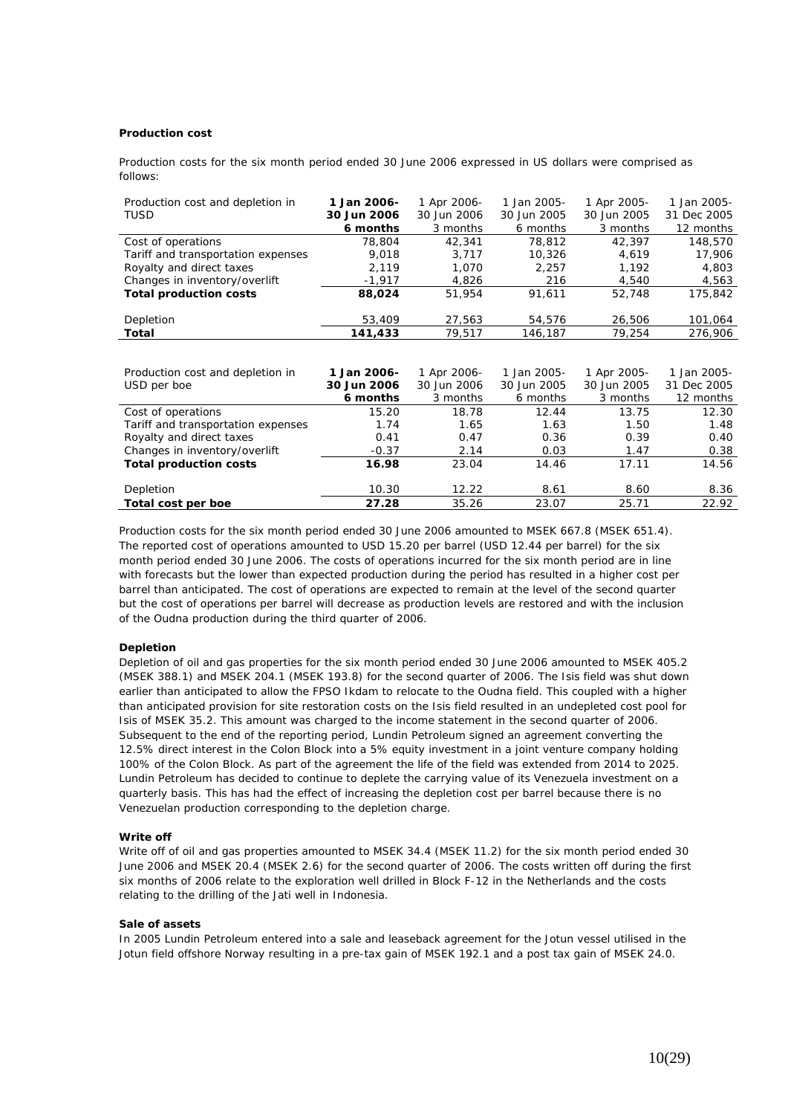#### **Production cost**

Production costs for the six month period ended 30 June 2006 expressed in US dollars were comprised as follows:

| Production cost and depletion in   | 1 Jan 2006- | 1 Apr 2006- | 1 Jan 2005- | 1 Apr 2005- | 1 Jan 2005- |
|------------------------------------|-------------|-------------|-------------|-------------|-------------|
| TUSD                               | 30 Jun 2006 | 30 Jun 2006 | 30 Jun 2005 | 30 Jun 2005 | 31 Dec 2005 |
|                                    | 6 months    | 3 months    | 6 months    | 3 months    | 12 months   |
| Cost of operations                 | 78,804      | 42,341      | 78,812      | 42.397      | 148,570     |
| Tariff and transportation expenses | 9,018       | 3,717       | 10,326      | 4,619       | 17,906      |
| Royalty and direct taxes           | 2,119       | 1,070       | 2,257       | 1,192       | 4,803       |
| Changes in inventory/overlift      | $-1,917$    | 4,826       | 216         | 4,540       | 4,563       |
| <b>Total production costs</b>      | 88,024      | 51,954      | 91,611      | 52,748      | 175,842     |
|                                    |             |             |             |             |             |
| Depletion                          | 53,409      | 27,563      | 54,576      | 26,506      | 101,064     |
| Total                              | 141,433     | 79,517      | 146,187     | 79,254      | 276,906     |
|                                    |             |             |             |             |             |
|                                    |             |             |             |             |             |
| Production cost and depletion in   | 1 Jan 2006- | 1 Apr 2006- | 1 Jan 2005- | 1 Apr 2005- | 1 Jan 2005- |
| USD per boe                        | 30 Jun 2006 | 30 Jun 2006 | 30 Jun 2005 | 30 Jun 2005 | 31 Dec 2005 |
|                                    | 6 months    | 3 months    | 6 months    | 3 months    | 12 months   |
| Cost of operations                 | 15.20       | 18.78       | 12.44       | 13.75       | 12.30       |
| Tariff and transportation expenses | 1.74        | 1.65        | 1.63        | 1.50        | 1.48        |
| Royalty and direct taxes           | 0.41        | 0.47        | 0.36        | 0.39        | 0.40        |
| Changes in inventory/overlift      | $-0.37$     | 2.14        | 0.03        | 1.47        | 0.38        |
| <b>Total production costs</b>      | 16.98       | 23.04       | 14.46       | 17.11       | 14.56       |
|                                    |             |             |             |             |             |

Depletion 10.30 12.22 8.61 8.60 8.36 **Total cost per boe 27.28** 35.26 23.07 25.71 22.92

Production costs for the six month period ended 30 June 2006 amounted to MSEK 667.8 (MSEK 651.4). The reported cost of operations amounted to USD 15.20 per barrel (USD 12.44 per barrel) for the six month period ended 30 June 2006. The costs of operations incurred for the six month period are in line with forecasts but the lower than expected production during the period has resulted in a higher cost per barrel than anticipated. The cost of operations are expected to remain at the level of the second quarter but the cost of operations per barrel will decrease as production levels are restored and with the inclusion of the Oudna production during the third quarter of 2006.

#### **Depletion**

Depletion of oil and gas properties for the six month period ended 30 June 2006 amounted to MSEK 405.2 (MSEK 388.1) and MSEK 204.1 (MSEK 193.8) for the second quarter of 2006. The Isis field was shut down earlier than anticipated to allow the FPSO Ikdam to relocate to the Oudna field. This coupled with a higher than anticipated provision for site restoration costs on the Isis field resulted in an undepleted cost pool for Isis of MSEK 35.2. This amount was charged to the income statement in the second quarter of 2006. Subsequent to the end of the reporting period, Lundin Petroleum signed an agreement converting the 12.5% direct interest in the Colon Block into a 5% equity investment in a joint venture company holding 100% of the Colon Block. As part of the agreement the life of the field was extended from 2014 to 2025. Lundin Petroleum has decided to continue to deplete the carrying value of its Venezuela investment on a quarterly basis. This has had the effect of increasing the depletion cost per barrel because there is no Venezuelan production corresponding to the depletion charge.

#### **Write off**

Write off of oil and gas properties amounted to MSEK 34.4 (MSEK 11.2) for the six month period ended 30 June 2006 and MSEK 20.4 (MSEK 2.6) for the second quarter of 2006. The costs written off during the first six months of 2006 relate to the exploration well drilled in Block F-12 in the Netherlands and the costs relating to the drilling of the Jati well in Indonesia.

#### **Sale of assets**

In 2005 Lundin Petroleum entered into a sale and leaseback agreement for the Jotun vessel utilised in the Jotun field offshore Norway resulting in a pre-tax gain of MSEK 192.1 and a post tax gain of MSEK 24.0.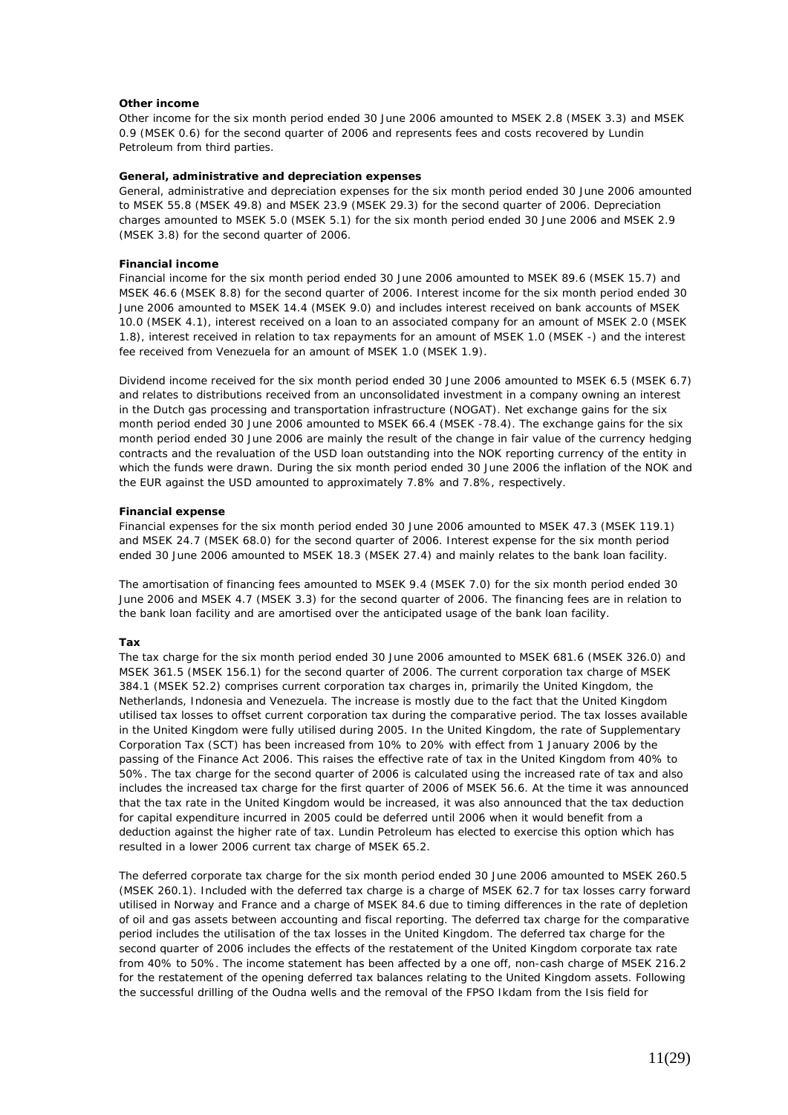#### **Other income**

Other income for the six month period ended 30 June 2006 amounted to MSEK 2.8 (MSEK 3.3) and MSEK 0.9 (MSEK 0.6) for the second quarter of 2006 and represents fees and costs recovered by Lundin Petroleum from third parties.

#### **General, administrative and depreciation expenses**

General, administrative and depreciation expenses for the six month period ended 30 June 2006 amounted to MSEK 55.8 (MSEK 49.8) and MSEK 23.9 (MSEK 29.3) for the second quarter of 2006. Depreciation charges amounted to MSEK 5.0 (MSEK 5.1) for the six month period ended 30 June 2006 and MSEK 2.9 (MSEK 3.8) for the second quarter of 2006.

#### **Financial income**

Financial income for the six month period ended 30 June 2006 amounted to MSEK 89.6 (MSEK 15.7) and MSEK 46.6 (MSEK 8.8) for the second quarter of 2006. Interest income for the six month period ended 30 June 2006 amounted to MSEK 14.4 (MSEK 9.0) and includes interest received on bank accounts of MSEK 10.0 (MSEK 4.1), interest received on a loan to an associated company for an amount of MSEK 2.0 (MSEK 1.8), interest received in relation to tax repayments for an amount of MSEK 1.0 (MSEK -) and the interest fee received from Venezuela for an amount of MSEK 1.0 (MSEK 1.9).

Dividend income received for the six month period ended 30 June 2006 amounted to MSEK 6.5 (MSEK 6.7) and relates to distributions received from an unconsolidated investment in a company owning an interest in the Dutch gas processing and transportation infrastructure (NOGAT). Net exchange gains for the six month period ended 30 June 2006 amounted to MSEK 66.4 (MSEK -78.4). The exchange gains for the six month period ended 30 June 2006 are mainly the result of the change in fair value of the currency hedging contracts and the revaluation of the USD loan outstanding into the NOK reporting currency of the entity in which the funds were drawn. During the six month period ended 30 June 2006 the inflation of the NOK and the EUR against the USD amounted to approximately 7.8% and 7.8%, respectively.

#### **Financial expense**

Financial expenses for the six month period ended 30 June 2006 amounted to MSEK 47.3 (MSEK 119.1) and MSEK 24.7 (MSEK 68.0) for the second quarter of 2006. Interest expense for the six month period ended 30 June 2006 amounted to MSEK 18.3 (MSEK 27.4) and mainly relates to the bank loan facility.

The amortisation of financing fees amounted to MSEK 9.4 (MSEK 7.0) for the six month period ended 30 June 2006 and MSEK 4.7 (MSEK 3.3) for the second quarter of 2006. The financing fees are in relation to the bank loan facility and are amortised over the anticipated usage of the bank loan facility.

#### **Tax**

The tax charge for the six month period ended 30 June 2006 amounted to MSEK 681.6 (MSEK 326.0) and MSEK 361.5 (MSEK 156.1) for the second quarter of 2006. The current corporation tax charge of MSEK 384.1 (MSEK 52.2) comprises current corporation tax charges in, primarily the United Kingdom, the Netherlands, Indonesia and Venezuela. The increase is mostly due to the fact that the United Kingdom utilised tax losses to offset current corporation tax during the comparative period. The tax losses available in the United Kingdom were fully utilised during 2005*.* In the United Kingdom, the rate of Supplementary Corporation Tax (SCT) has been increased from 10% to 20% with effect from 1 January 2006 by the passing of the Finance Act 2006. This raises the effective rate of tax in the United Kingdom from 40% to 50%. The tax charge for the second quarter of 2006 is calculated using the increased rate of tax and also includes the increased tax charge for the first quarter of 2006 of MSEK 56.6. At the time it was announced that the tax rate in the United Kingdom would be increased, it was also announced that the tax deduction for capital expenditure incurred in 2005 could be deferred until 2006 when it would benefit from a deduction against the higher rate of tax. Lundin Petroleum has elected to exercise this option which has resulted in a lower 2006 current tax charge of MSEK 65.2.

The deferred corporate tax charge for the six month period ended 30 June 2006 amounted to MSEK 260.5 (MSEK 260.1). Included with the deferred tax charge is a charge of MSEK 62.7 for tax losses carry forward utilised in Norway and France and a charge of MSEK 84.6 due to timing differences in the rate of depletion of oil and gas assets between accounting and fiscal reporting. The deferred tax charge for the comparative period includes the utilisation of the tax losses in the United Kingdom. The deferred tax charge for the second quarter of 2006 includes the effects of the restatement of the United Kingdom corporate tax rate from 40% to 50%. The income statement has been affected by a one off, non-cash charge of MSEK 216.2 for the restatement of the opening deferred tax balances relating to the United Kingdom assets. Following the successful drilling of the Oudna wells and the removal of the FPSO Ikdam from the Isis field for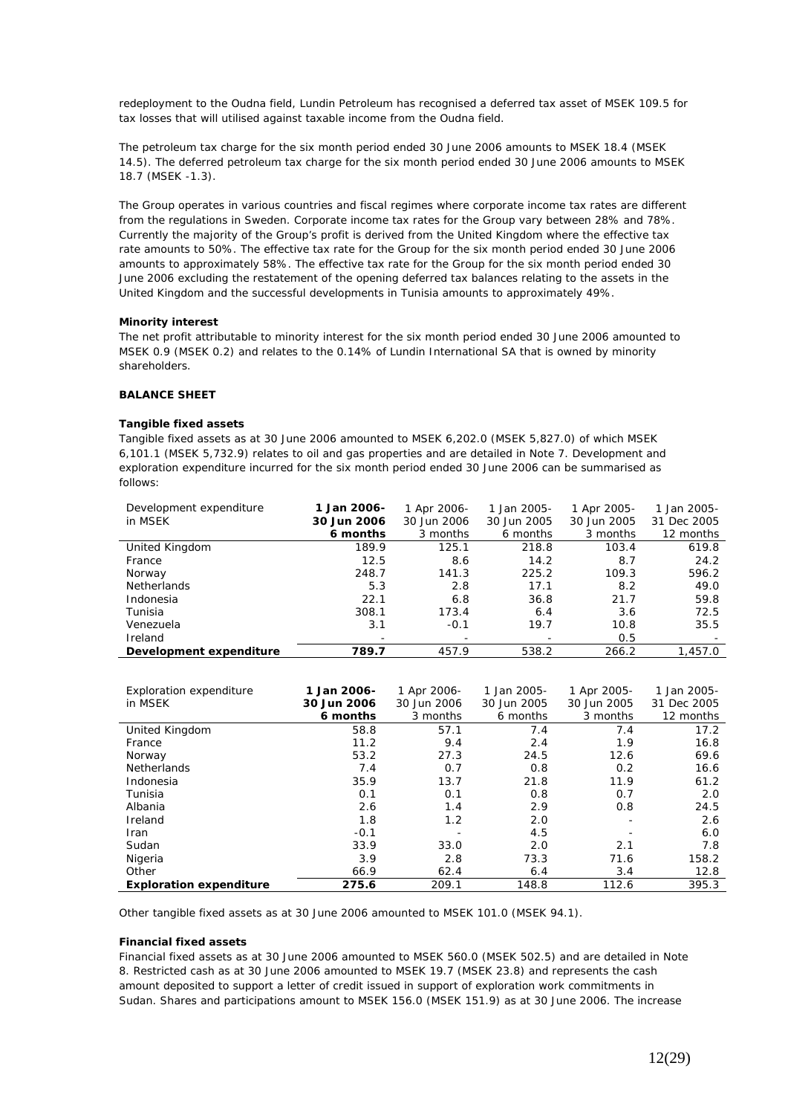redeployment to the Oudna field, Lundin Petroleum has recognised a deferred tax asset of MSEK 109.5 for tax losses that will utilised against taxable income from the Oudna field.

The petroleum tax charge for the six month period ended 30 June 2006 amounts to MSEK 18.4 (MSEK 14.5). The deferred petroleum tax charge for the six month period ended 30 June 2006 amounts to MSEK 18.7 (MSEK -1.3).

The Group operates in various countries and fiscal regimes where corporate income tax rates are different from the regulations in Sweden. Corporate income tax rates for the Group vary between 28% and 78%. Currently the majority of the Group's profit is derived from the United Kingdom where the effective tax rate amounts to 50%. The effective tax rate for the Group for the six month period ended 30 June 2006 amounts to approximately 58%. The effective tax rate for the Group for the six month period ended 30 June 2006 excluding the restatement of the opening deferred tax balances relating to the assets in the United Kingdom and the successful developments in Tunisia amounts to approximately 49%.

#### **Minority interest**

The net profit attributable to minority interest for the six month period ended 30 June 2006 amounted to MSEK 0.9 (MSEK 0.2) and relates to the 0.14% of Lundin International SA that is owned by minority shareholders.

#### **BALANCE SHEET**

#### **Tangible fixed assets**

Tangible fixed assets as at 30 June 2006 amounted to MSEK 6,202.0 (MSEK 5,827.0) of which MSEK 6,101.1 (MSEK 5,732.9) relates to oil and gas properties and are detailed in Note 7. Development and exploration expenditure incurred for the six month period ended 30 June 2006 can be summarised as follows:

| Development expenditure<br>in MSEK | 1 Jan 2006-<br>30 Jun 2006 | 1 Apr 2006-<br>30 Jun 2006 | 1 Jan 2005-<br>30 Jun 2005 | 1 Apr 2005-<br>30 Jun 2005 | 1 Jan 2005-<br>31 Dec 2005 |
|------------------------------------|----------------------------|----------------------------|----------------------------|----------------------------|----------------------------|
|                                    | 6 months                   | 3 months                   | 6 months                   | 3 months                   | 12 months                  |
| United Kingdom                     | 189.9                      | 125.1                      | 218.8                      | 103.4                      | 619.8                      |
| France                             | 12.5                       | 8.6                        | 14.2                       | 8.7                        | 24.2                       |
| Norway                             | 248.7                      | 141.3                      | 225.2                      | 109.3                      | 596.2                      |
| <b>Netherlands</b>                 | 5.3                        | 2.8                        | 17.1                       | 8.2                        | 49.0                       |
| Indonesia                          | 22.1                       | 6.8                        | 36.8                       | 21.7                       | 59.8                       |
| Tunisia                            | 308.1                      | 173.4                      | 6.4                        | 3.6                        | 72.5                       |
| Venezuela                          | 3.1                        | $-0.1$                     | 19.7                       | 10.8                       | 35.5                       |
| Ireland                            | -                          |                            |                            | 0.5                        |                            |
| Development expenditure            | 789.7                      | 457.9                      | 538.2                      | 266.2                      | 1,457.0                    |
|                                    |                            |                            |                            |                            |                            |

| Exploration expenditure        | 1 Jan 2006- | 1 Apr 2006- | 1 Jan 2005- | 1 Apr 2005- | 1 Jan 2005- |
|--------------------------------|-------------|-------------|-------------|-------------|-------------|
| in MSEK                        | 30 Jun 2006 | 30 Jun 2006 | 30 Jun 2005 | 30 Jun 2005 | 31 Dec 2005 |
|                                | 6 months    | 3 months    | 6 months    | 3 months    | 12 months   |
| United Kingdom                 | 58.8        | 57.1        | 7.4         | 7.4         | 17.2        |
| France                         | 11.2        | 9.4         | 2.4         | 1.9         | 16.8        |
| Norway                         | 53.2        | 27.3        | 24.5        | 12.6        | 69.6        |
| <b>Netherlands</b>             | 7.4         | 0.7         | 0.8         | 0.2         | 16.6        |
| Indonesia                      | 35.9        | 13.7        | 21.8        | 11.9        | 61.2        |
| Tunisia                        | 0.1         | 0.1         | 0.8         | 0.7         | 2.0         |
| Albania                        | 2.6         | 1.4         | 2.9         | 0.8         | 24.5        |
| Ireland                        | 1.8         | 1.2         | 2.0         |             | 2.6         |
| Iran                           | $-0.1$      |             | 4.5         |             | 6.0         |
| Sudan                          | 33.9        | 33.0        | 2.0         | 2.1         | 7.8         |
| Nigeria                        | 3.9         | 2.8         | 73.3        | 71.6        | 158.2       |
| Other                          | 66.9        | 62.4        | 6.4         | 3.4         | 12.8        |
| <b>Exploration expenditure</b> | 275.6       | 209.1       | 148.8       | 112.6       | 395.3       |

Other tangible fixed assets as at 30 June 2006 amounted to MSEK 101.0 (MSEK 94.1).

#### **Financial fixed assets**

Financial fixed assets as at 30 June 2006 amounted to MSEK 560.0 (MSEK 502.5) and are detailed in Note 8. Restricted cash as at 30 June 2006 amounted to MSEK 19.7 (MSEK 23.8) and represents the cash amount deposited to support a letter of credit issued in support of exploration work commitments in Sudan. Shares and participations amount to MSEK 156.0 (MSEK 151.9) as at 30 June 2006. The increase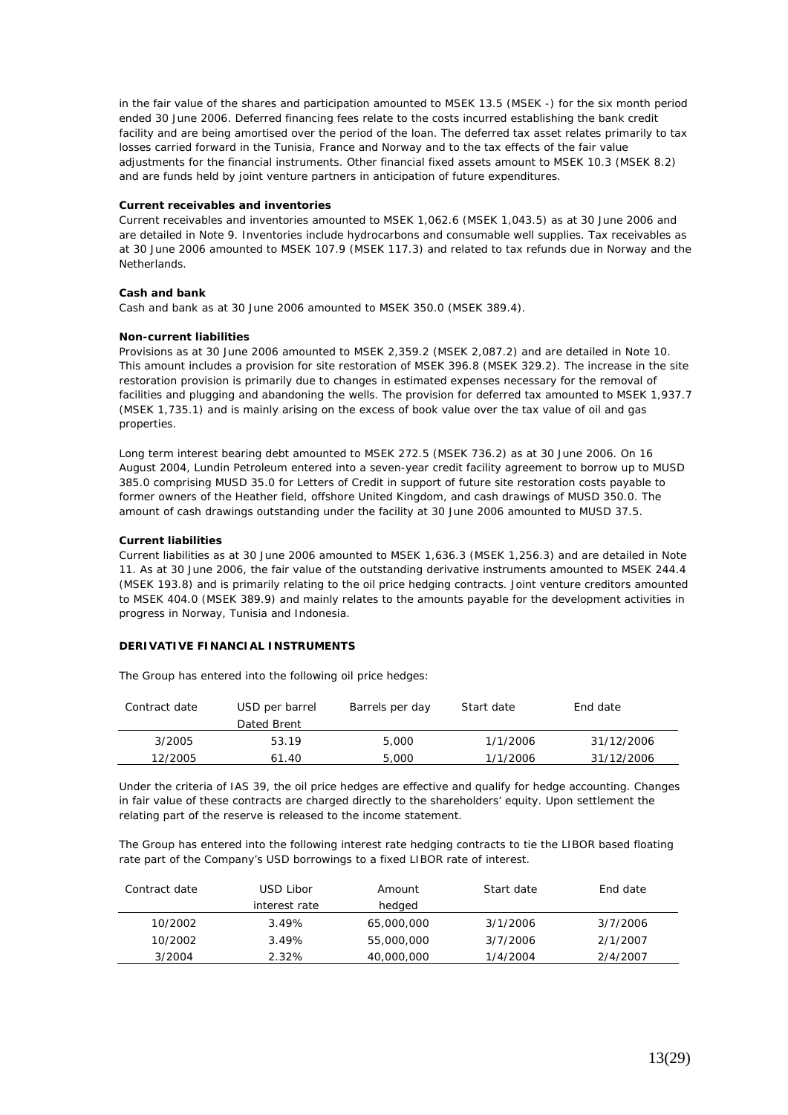in the fair value of the shares and participation amounted to MSEK 13.5 (MSEK -) for the six month period ended 30 June 2006. Deferred financing fees relate to the costs incurred establishing the bank credit facility and are being amortised over the period of the loan. The deferred tax asset relates primarily to tax losses carried forward in the Tunisia, France and Norway and to the tax effects of the fair value adjustments for the financial instruments. Other financial fixed assets amount to MSEK 10.3 (MSEK 8.2) and are funds held by joint venture partners in anticipation of future expenditures.

#### **Current receivables and inventories**

Current receivables and inventories amounted to MSEK 1,062.6 (MSEK 1,043.5) as at 30 June 2006 and are detailed in Note 9. Inventories include hydrocarbons and consumable well supplies. Tax receivables as at 30 June 2006 amounted to MSEK 107.9 (MSEK 117.3) and related to tax refunds due in Norway and the Netherlands.

#### **Cash and bank**

Cash and bank as at 30 June 2006 amounted to MSEK 350.0 (MSEK 389.4).

#### **Non-current liabilities**

Provisions as at 30 June 2006 amounted to MSEK 2,359.2 (MSEK 2,087.2) and are detailed in Note 10. This amount includes a provision for site restoration of MSEK 396.8 (MSEK 329.2). The increase in the site restoration provision is primarily due to changes in estimated expenses necessary for the removal of facilities and plugging and abandoning the wells. The provision for deferred tax amounted to MSEK 1,937.7 (MSEK 1,735.1) and is mainly arising on the excess of book value over the tax value of oil and gas properties.

Long term interest bearing debt amounted to MSEK 272.5 (MSEK 736.2) as at 30 June 2006. On 16 August 2004, Lundin Petroleum entered into a seven-year credit facility agreement to borrow up to MUSD 385.0 comprising MUSD 35.0 for Letters of Credit in support of future site restoration costs payable to former owners of the Heather field, offshore United Kingdom, and cash drawings of MUSD 350.0. The amount of cash drawings outstanding under the facility at 30 June 2006 amounted to MUSD 37.5.

#### **Current liabilities**

Current liabilities as at 30 June 2006 amounted to MSEK 1,636.3 (MSEK 1,256.3) and are detailed in Note 11. As at 30 June 2006, the fair value of the outstanding derivative instruments amounted to MSEK 244.4 (MSEK 193.8) and is primarily relating to the oil price hedging contracts. Joint venture creditors amounted to MSEK 404.0 (MSEK 389.9) and mainly relates to the amounts payable for the development activities in progress in Norway, Tunisia and Indonesia.

#### **DERIVATIVE FINANCIAL INSTRUMENTS**

The Group has entered into the following oil price hedges:

| Contract date | USD per barrel | Barrels per day | Start date | End date   |
|---------------|----------------|-----------------|------------|------------|
|               | Dated Brent    |                 |            |            |
| 3/2005        | 53.19          | 5,000           | 1/1/2006   | 31/12/2006 |
| 12/2005       | 61.40          | 5,000           | 1/1/2006   | 31/12/2006 |

Under the criteria of IAS 39, the oil price hedges are effective and qualify for hedge accounting. Changes in fair value of these contracts are charged directly to the shareholders' equity. Upon settlement the relating part of the reserve is released to the income statement.

The Group has entered into the following interest rate hedging contracts to tie the LIBOR based floating rate part of the Company's USD borrowings to a fixed LIBOR rate of interest.

| Contract date | USD Libor     | Amount     | Start date | End date |
|---------------|---------------|------------|------------|----------|
|               | interest rate | hedged     |            |          |
| 10/2002       | 3.49%         | 65,000,000 | 3/1/2006   | 3/7/2006 |
| 10/2002       | 3.49%         | 55,000,000 | 3/7/2006   | 2/1/2007 |
| 3/2004        | 2.32%         | 40,000,000 | 1/4/2004   | 2/4/2007 |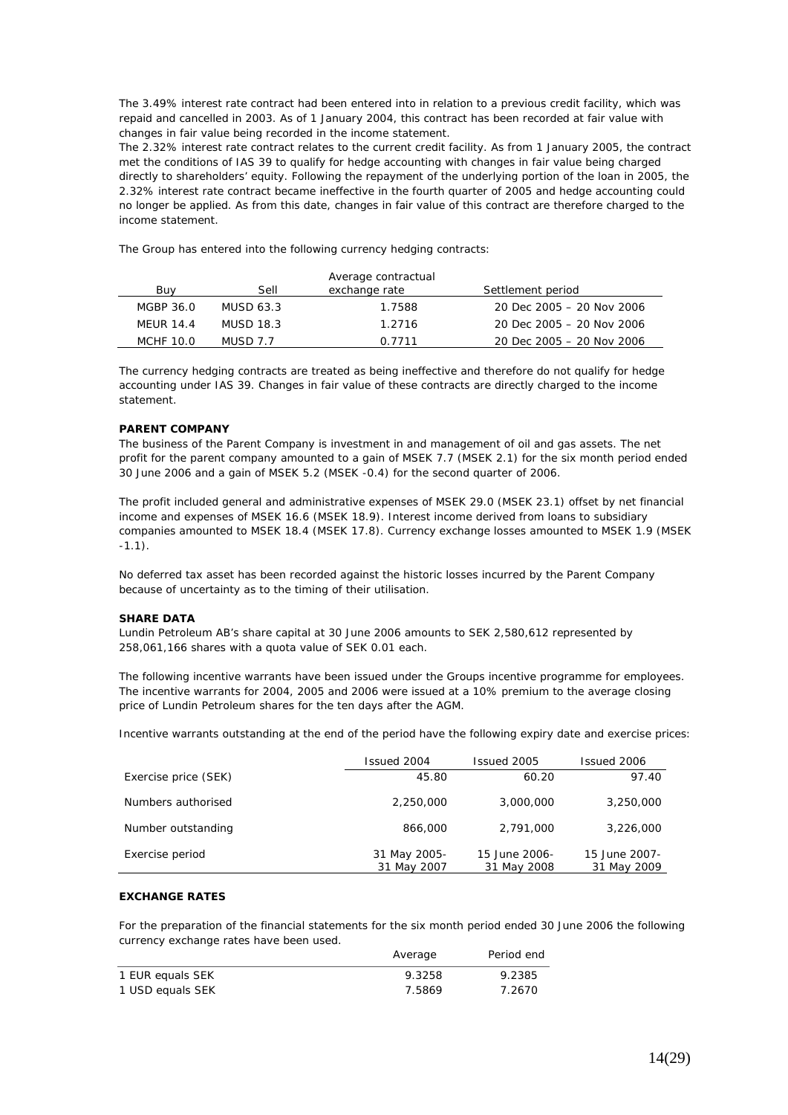The 3.49% interest rate contract had been entered into in relation to a previous credit facility, which was repaid and cancelled in 2003. As of 1 January 2004, this contract has been recorded at fair value with changes in fair value being recorded in the income statement.

The 2.32% interest rate contract relates to the current credit facility. As from 1 January 2005, the contract met the conditions of IAS 39 to qualify for hedge accounting with changes in fair value being charged directly to shareholders' equity. Following the repayment of the underlying portion of the loan in 2005, the 2.32% interest rate contract became ineffective in the fourth quarter of 2005 and hedge accounting could no longer be applied. As from this date, changes in fair value of this contract are therefore charged to the income statement.

The Group has entered into the following currency hedging contracts:

|                  |           | Average contractual |                           |
|------------------|-----------|---------------------|---------------------------|
| Buv              | Sell      | exchange rate       | Settlement period         |
| MGBP 36.0        | MUSD 63.3 | 1.7588              | 20 Dec 2005 – 20 Nov 2006 |
| <b>MEUR 14.4</b> | MUSD 18.3 | 1.2716              | 20 Dec 2005 – 20 Nov 2006 |
| MCHF 10.0        | MUSD 7.7  | 0 7711              | 20 Dec 2005 – 20 Nov 2006 |

The currency hedging contracts are treated as being ineffective and therefore do not qualify for hedge accounting under IAS 39. Changes in fair value of these contracts are directly charged to the income statement.

## **PARENT COMPANY**

The business of the Parent Company is investment in and management of oil and gas assets. The net profit for the parent company amounted to a gain of MSEK 7.7 (MSEK 2.1) for the six month period ended 30 June 2006 and a gain of MSEK 5.2 (MSEK -0.4) for the second quarter of 2006.

The profit included general and administrative expenses of MSEK 29.0 (MSEK 23.1) offset by net financial income and expenses of MSEK 16.6 (MSEK 18.9). Interest income derived from loans to subsidiary companies amounted to MSEK 18.4 (MSEK 17.8). Currency exchange losses amounted to MSEK 1.9 (MSEK -1.1).

No deferred tax asset has been recorded against the historic losses incurred by the Parent Company because of uncertainty as to the timing of their utilisation.

#### **SHARE DATA**

Lundin Petroleum AB's share capital at 30 June 2006 amounts to SEK 2,580,612 represented by 258,061,166 shares with a quota value of SEK 0.01 each.

The following incentive warrants have been issued under the Groups incentive programme for employees. The incentive warrants for 2004, 2005 and 2006 were issued at a 10% premium to the average closing price of Lundin Petroleum shares for the ten days after the AGM.

Incentive warrants outstanding at the end of the period have the following expiry date and exercise prices:

|                      | Issued 2004                 | Issued 2005                  | Issued 2006                  |
|----------------------|-----------------------------|------------------------------|------------------------------|
| Exercise price (SEK) | 45.80                       | 60.20                        | 97.40                        |
| Numbers authorised   | 2,250,000                   | 3,000,000                    | 3,250,000                    |
| Number outstanding   | 866,000                     | 2,791,000                    | 3,226,000                    |
| Exercise period      | 31 May 2005-<br>31 May 2007 | 15 June 2006-<br>31 May 2008 | 15 June 2007-<br>31 May 2009 |

# **EXCHANGE RATES**

For the preparation of the financial statements for the six month period ended 30 June 2006 the following currency exchange rates have been used.

|                  | Average | Period end |
|------------------|---------|------------|
| 1 EUR equals SEK | 9.3258  | 9.2385     |
| 1 USD equals SEK | 7.5869  | 7.2670     |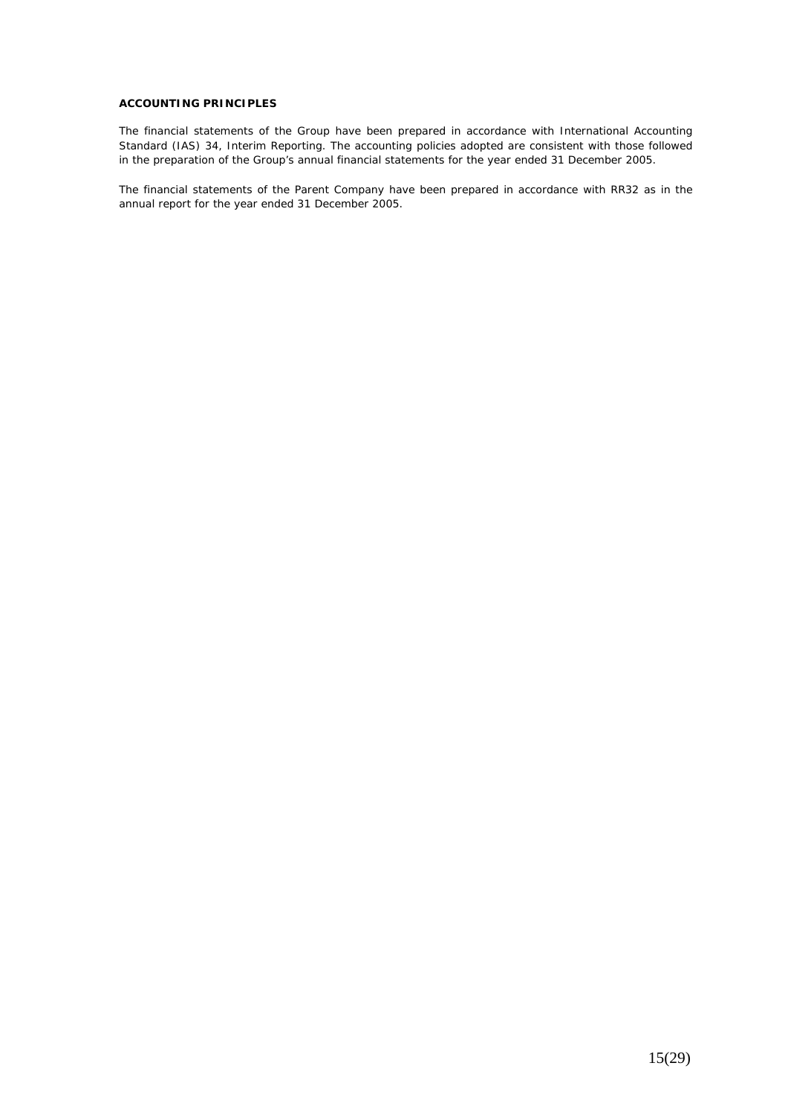### **ACCOUNTING PRINCIPLES**

The financial statements of the Group have been prepared in accordance with International Accounting Standard (IAS) 34, Interim Reporting. The accounting policies adopted are consistent with those followed in the preparation of the Group's annual financial statements for the year ended 31 December 2005.

The financial statements of the Parent Company have been prepared in accordance with RR32 as in the annual report for the year ended 31 December 2005.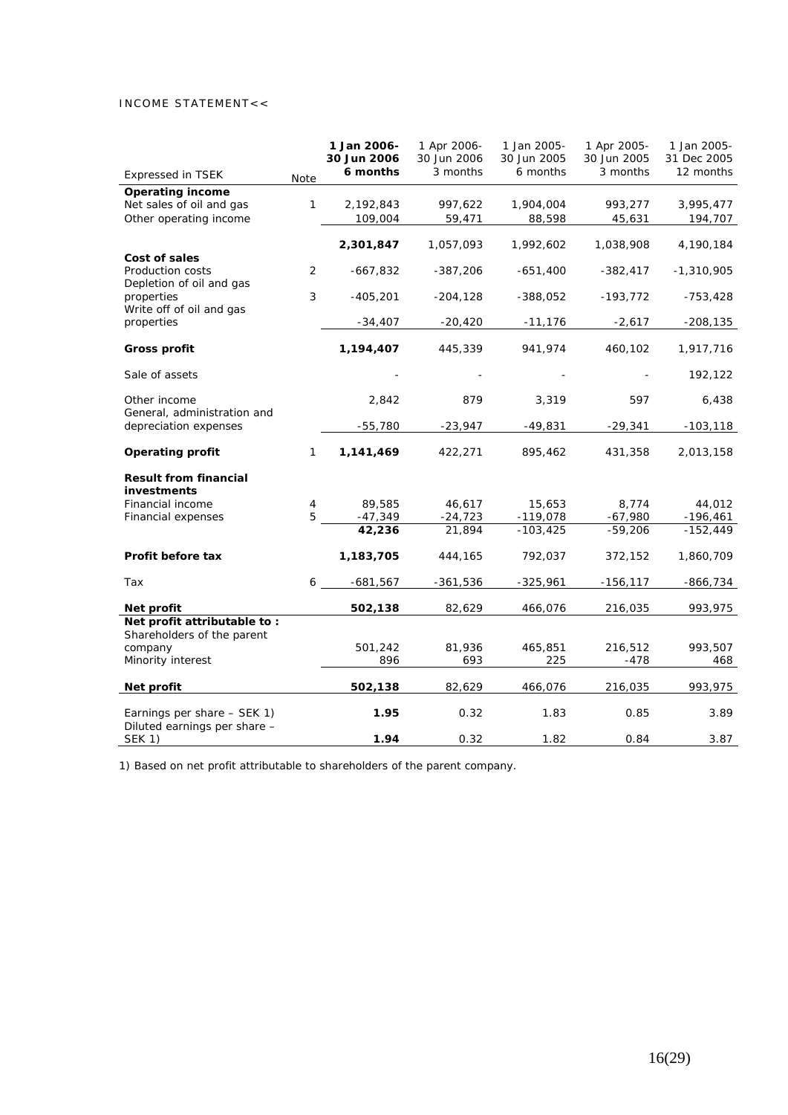# INCOME STATEMENT<<

|                                                             |              | 1 Jan 2006-<br>30 Jun 2006 | 1 Apr 2006-<br>30 Jun 2006 | 1 Jan 2005-<br>30 Jun 2005 | 1 Apr 2005-<br>30 Jun 2005 | 1 Jan 2005-<br>31 Dec 2005 |
|-------------------------------------------------------------|--------------|----------------------------|----------------------------|----------------------------|----------------------------|----------------------------|
| <b>Expressed in TSEK</b>                                    | Note         | 6 months                   | 3 months                   | 6 months                   | 3 months                   | 12 months                  |
| <b>Operating income</b>                                     |              |                            |                            |                            |                            |                            |
| Net sales of oil and gas                                    | 1            | 2,192,843                  | 997,622                    | 1,904,004                  | 993,277                    | 3,995,477                  |
| Other operating income                                      |              | 109,004                    | 59,471                     | 88,598                     | 45,631                     | 194,707                    |
| Cost of sales                                               |              | 2,301,847                  | 1,057,093                  | 1,992,602                  | 1,038,908                  | 4,190,184                  |
| Production costs<br>Depletion of oil and gas                | 2            | $-667,832$                 | $-387,206$                 | $-651,400$                 | $-382,417$                 | $-1,310,905$               |
| properties<br>Write off of oil and gas                      | 3            | $-405,201$                 | $-204,128$                 | $-388,052$                 | $-193,772$                 | -753,428                   |
| properties                                                  |              | $-34,407$                  | $-20,420$                  | $-11,176$                  | $-2,617$                   | $-208,135$                 |
| Gross profit                                                |              | 1,194,407                  | 445,339                    | 941,974                    | 460,102                    | 1,917,716                  |
| Sale of assets                                              |              |                            |                            |                            |                            | 192,122                    |
| Other income<br>General, administration and                 |              | 2,842                      | 879                        | 3,319                      | 597                        | 6,438                      |
| depreciation expenses                                       |              | $-55,780$                  | $-23,947$                  | $-49,831$                  | $-29,341$                  | $-103, 118$                |
| <b>Operating profit</b>                                     | $\mathbf{1}$ | 1,141,469                  | 422,271                    | 895,462                    | 431,358                    | 2,013,158                  |
| <b>Result from financial</b><br>investments                 |              |                            |                            |                            |                            |                            |
| Financial income                                            | 4            | 89,585                     | 46,617                     | 15,653                     | 8,774                      | 44,012                     |
| Financial expenses                                          | 5            | $-47,349$                  | $-24,723$                  | $-119,078$                 | $-67,980$                  | $-196,461$                 |
|                                                             |              | 42,236                     | 21,894                     | $-103,425$                 | $-59,206$                  | $-152,449$                 |
| Profit before tax                                           |              | 1,183,705                  | 444,165                    | 792,037                    | 372,152                    | 1,860,709                  |
| Tax                                                         | 6            | -681,567                   | $-361,536$                 | $-325,961$                 | $-156, 117$                | -866,734                   |
| Net profit                                                  |              | 502,138                    | 82,629                     | 466,076                    | 216,035                    | 993,975                    |
| Net profit attributable to:<br>Shareholders of the parent   |              |                            |                            |                            |                            |                            |
| company<br>Minority interest                                |              | 501,242<br>896             | 81,936<br>693              | 465,851<br>225             | 216,512<br>$-478$          | 993,507<br>468             |
| Net profit                                                  |              | 502,138                    | 82,629                     | 466,076                    | 216,035                    | 993,975                    |
| Earnings per share - SEK 1)<br>Diluted earnings per share - |              | 1.95                       | 0.32                       | 1.83                       | 0.85                       | 3.89                       |
| <b>SEK 1)</b>                                               |              | 1.94                       | 0.32                       | 1.82                       | 0.84                       | 3.87                       |

1) Based on net profit attributable to shareholders of the parent company.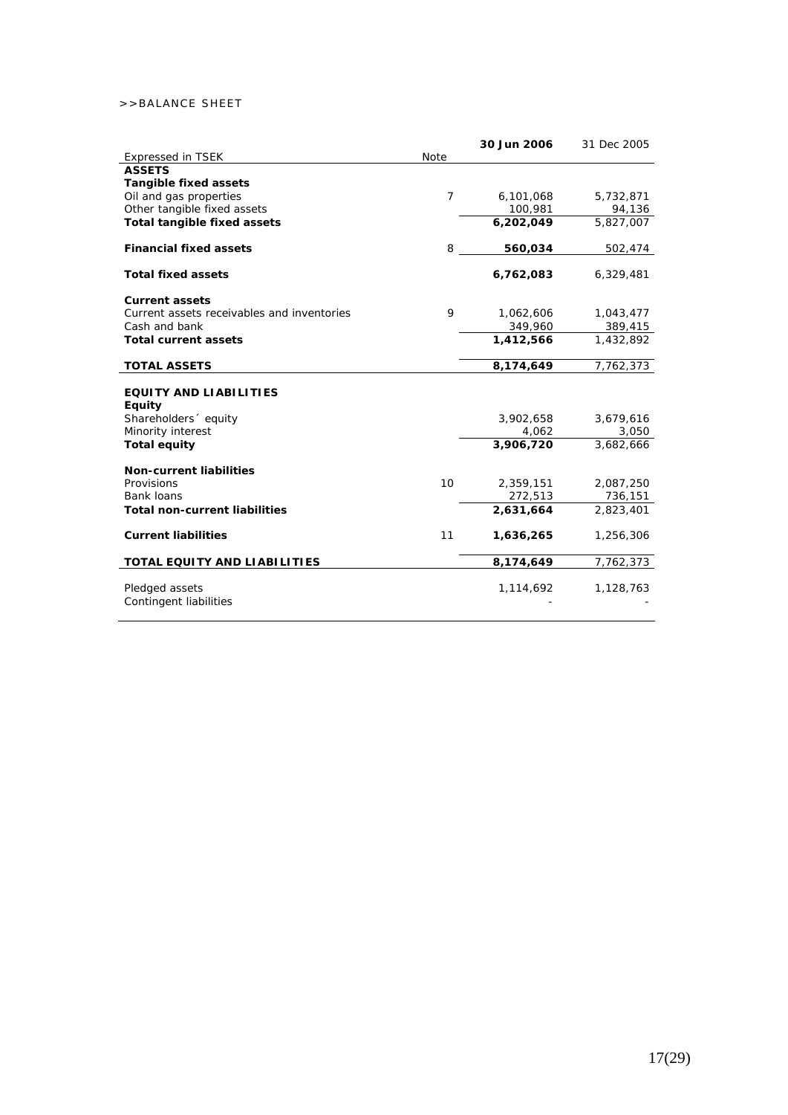# >>BALANCE SHEET

|                                                |                | 30 Jun 2006 | 31 Dec 2005 |
|------------------------------------------------|----------------|-------------|-------------|
| <b>Expressed in TSEK</b>                       | Note           |             |             |
| <b>ASSETS</b>                                  |                |             |             |
| <b>Tangible fixed assets</b>                   |                |             |             |
| Oil and gas properties                         | $\overline{7}$ | 6,101,068   | 5,732,871   |
| Other tangible fixed assets                    |                | 100,981     | 94,136      |
| <b>Total tangible fixed assets</b>             |                | 6,202,049   | 5,827,007   |
| <b>Financial fixed assets</b>                  | 8              | 560,034     | 502,474     |
| <b>Total fixed assets</b>                      |                | 6,762,083   | 6,329,481   |
| <b>Current assets</b>                          |                |             |             |
| Current assets receivables and inventories     | 9              | 1,062,606   | 1,043,477   |
| Cash and bank                                  |                | 349,960     | 389,415     |
| <b>Total current assets</b>                    |                | 1,412,566   | 1,432,892   |
| <b>TOTAL ASSETS</b>                            |                | 8,174,649   | 7,762,373   |
| <b>EQUITY AND LIABILITIES</b><br><b>Equity</b> |                |             |             |
| Shareholders equity                            |                | 3,902,658   | 3,679,616   |
| Minority interest                              |                | 4,062       | 3,050       |
| <b>Total equity</b>                            |                | 3,906,720   | 3,682,666   |
| <b>Non-current liabilities</b>                 |                |             |             |
| Provisions                                     | 10             | 2,359,151   | 2,087,250   |
| Bank loans                                     |                | 272,513     | 736,151     |
| <b>Total non-current liabilities</b>           |                | 2,631,664   | 2,823,401   |
| <b>Current liabilities</b>                     | 11             | 1,636,265   | 1,256,306   |
| TOTAL EQUITY AND LIABILITIES                   |                | 8,174,649   | 7,762,373   |
| Pledged assets<br>Contingent liabilities       |                | 1,114,692   | 1,128,763   |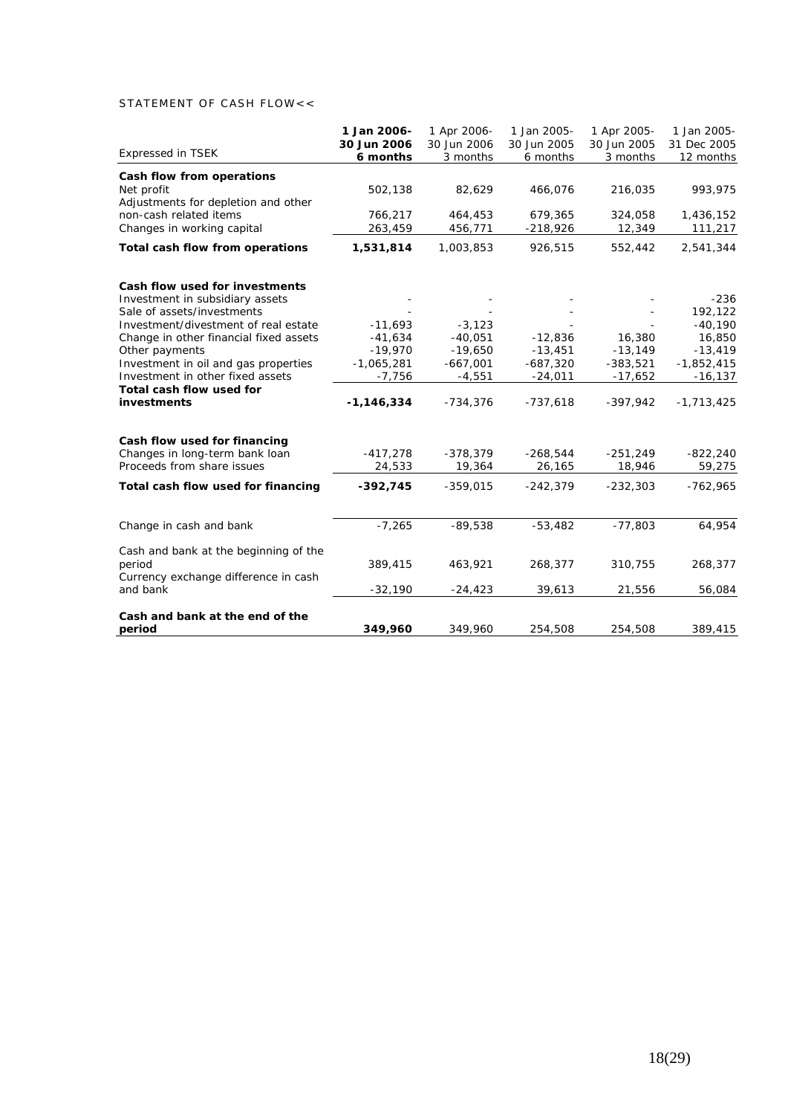# STATEMENT OF CASH FLOW<<

| 30 Jun 2006<br>30 Jun 2005<br>30 Jun 2006<br>30 Jun 2005<br>31 Dec 2005<br><b>Expressed in TSEK</b><br>6 months<br>3 months<br>6 months<br>3 months<br>12 months<br>Cash flow from operations<br>Net profit<br>502,138<br>82,629<br>466,076<br>216,035<br>Adjustments for depletion and other<br>non-cash related items<br>766,217<br>464,453<br>679,365<br>324,058<br>Changes in working capital<br>263,459<br>$-218,926$<br>12,349<br>456,771<br>Total cash flow from operations<br>1,531,814<br>1,003,853<br>926,515<br>552,442<br>Cash flow used for investments<br>Investment in subsidiary assets | 1 Jan 2005- |
|---------------------------------------------------------------------------------------------------------------------------------------------------------------------------------------------------------------------------------------------------------------------------------------------------------------------------------------------------------------------------------------------------------------------------------------------------------------------------------------------------------------------------------------------------------------------------------------------------------|-------------|
|                                                                                                                                                                                                                                                                                                                                                                                                                                                                                                                                                                                                         |             |
|                                                                                                                                                                                                                                                                                                                                                                                                                                                                                                                                                                                                         |             |
|                                                                                                                                                                                                                                                                                                                                                                                                                                                                                                                                                                                                         |             |
|                                                                                                                                                                                                                                                                                                                                                                                                                                                                                                                                                                                                         | 993,975     |
|                                                                                                                                                                                                                                                                                                                                                                                                                                                                                                                                                                                                         |             |
|                                                                                                                                                                                                                                                                                                                                                                                                                                                                                                                                                                                                         | 1,436,152   |
|                                                                                                                                                                                                                                                                                                                                                                                                                                                                                                                                                                                                         | 111,217     |
|                                                                                                                                                                                                                                                                                                                                                                                                                                                                                                                                                                                                         | 2,541,344   |
|                                                                                                                                                                                                                                                                                                                                                                                                                                                                                                                                                                                                         |             |
|                                                                                                                                                                                                                                                                                                                                                                                                                                                                                                                                                                                                         | $-236$      |
| Sale of assets/investments                                                                                                                                                                                                                                                                                                                                                                                                                                                                                                                                                                              | 192,122     |
| Investment/divestment of real estate<br>$-11,693$<br>$-3,123$                                                                                                                                                                                                                                                                                                                                                                                                                                                                                                                                           | $-40,190$   |
| 16,380<br>$-41,634$<br>$-40,051$<br>$-12,836$<br>Change in other financial fixed assets                                                                                                                                                                                                                                                                                                                                                                                                                                                                                                                 | 16,850      |
| Other payments<br>$-19,970$<br>$-19,650$<br>$-13,451$<br>$-13,149$                                                                                                                                                                                                                                                                                                                                                                                                                                                                                                                                      | $-13,419$   |
| Investment in oil and gas properties<br>$-1,065,281$<br>$-667,001$<br>$-687,320$<br>$-383,521$<br>$-1,852,415$                                                                                                                                                                                                                                                                                                                                                                                                                                                                                          |             |
| Investment in other fixed assets<br>$-7,756$<br>$-4,551$<br>$-24,011$<br>$-17,652$                                                                                                                                                                                                                                                                                                                                                                                                                                                                                                                      | $-16, 137$  |
| Total cash flow used for                                                                                                                                                                                                                                                                                                                                                                                                                                                                                                                                                                                |             |
| investments<br>$-1, 146, 334$<br>$-734,376$<br>$-737,618$<br>$-397,942$<br>$-1,713,425$                                                                                                                                                                                                                                                                                                                                                                                                                                                                                                                 |             |
| Cash flow used for financing                                                                                                                                                                                                                                                                                                                                                                                                                                                                                                                                                                            |             |
| Changes in long-term bank loan<br>$-417,278$<br>$-378,379$<br>$-268,544$<br>$-251,249$                                                                                                                                                                                                                                                                                                                                                                                                                                                                                                                  | $-822,240$  |
| Proceeds from share issues<br>24,533<br>19,364<br>26,165<br>18,946                                                                                                                                                                                                                                                                                                                                                                                                                                                                                                                                      | 59,275      |
| Total cash flow used for financing<br>$-392,745$<br>$-359,015$<br>$-242,379$<br>$-232,303$                                                                                                                                                                                                                                                                                                                                                                                                                                                                                                              | $-762,965$  |
| $-7,265$<br>$-89,538$<br>$-53,482$<br>$-77,803$<br>Change in cash and bank                                                                                                                                                                                                                                                                                                                                                                                                                                                                                                                              | 64,954      |
|                                                                                                                                                                                                                                                                                                                                                                                                                                                                                                                                                                                                         |             |
| Cash and bank at the beginning of the                                                                                                                                                                                                                                                                                                                                                                                                                                                                                                                                                                   |             |
| period<br>389,415<br>463,921<br>268,377<br>310,755                                                                                                                                                                                                                                                                                                                                                                                                                                                                                                                                                      | 268,377     |
| Currency exchange difference in cash<br>and bank<br>$-32,190$<br>39,613<br>21,556<br>$-24,423$                                                                                                                                                                                                                                                                                                                                                                                                                                                                                                          | 56,084      |
| Cash and bank at the end of the                                                                                                                                                                                                                                                                                                                                                                                                                                                                                                                                                                         |             |
| 349,960<br>period<br>349,960<br>254,508<br>254,508                                                                                                                                                                                                                                                                                                                                                                                                                                                                                                                                                      | 389,415     |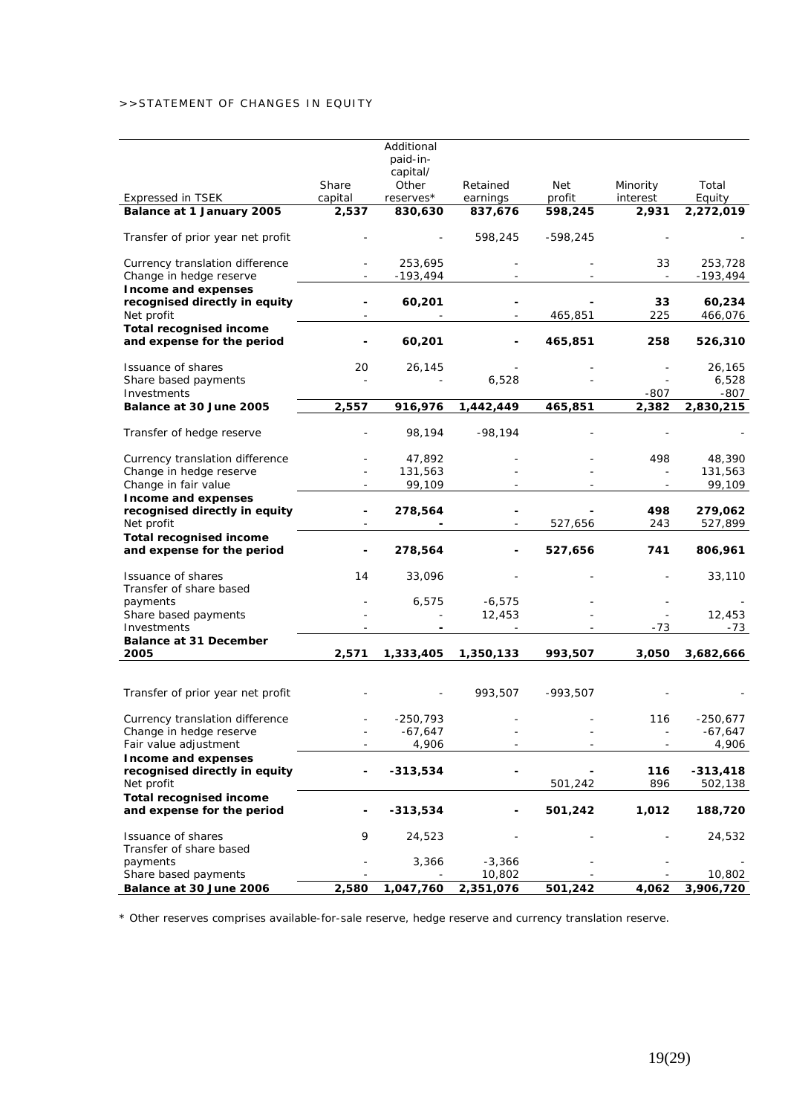# >>STATEMENT OF CHANGES IN EQUITY

|                                                                    |                  | Additional<br>paid-in-<br>capital/ |                      |               |                      |                         |
|--------------------------------------------------------------------|------------------|------------------------------------|----------------------|---------------|----------------------|-------------------------|
| <b>Expressed in TSEK</b>                                           | Share<br>capital | Other<br>reserves*                 | Retained<br>earnings | Net<br>profit | Minority<br>interest | Total<br>Equity         |
| Balance at 1 January 2005                                          | 2,537            | 830,630                            | 837,676              | 598,245       | 2,931                | 2,272,019               |
| Transfer of prior year net profit                                  |                  |                                    | 598,245              | $-598,245$    |                      |                         |
| Currency translation difference<br>Change in hedge reserve         |                  | 253,695<br>$-193,494$              |                      |               | 33                   | 253,728<br>$-193,494$   |
| Income and expenses<br>recognised directly in equity<br>Net profit |                  | 60,201                             |                      | 465,851       | 33<br>225            | 60,234<br>466,076       |
| <b>Total recognised income</b><br>and expense for the period       |                  | 60,201                             |                      | 465,851       | 258                  | 526,310                 |
| Issuance of shares<br>Share based payments<br>Investments          | 20               | 26,145                             | 6,528                |               | -807                 | 26,165<br>6,528<br>-807 |
| Balance at 30 June 2005                                            | 2,557            | 916,976                            | 1,442,449            | 465,851       | 2,382                | 2,830,215               |
| Transfer of hedge reserve                                          |                  | 98,194                             | $-98,194$            |               |                      |                         |
| Currency translation difference<br>Change in hedge reserve         |                  | 47,892<br>131,563                  |                      |               | 498                  | 48,390<br>131,563       |
| Change in fair value<br>Income and expenses                        |                  | 99,109                             |                      |               |                      | 99,109                  |
| recognised directly in equity<br>Net profit                        |                  | 278,564                            |                      | 527,656       | 498<br>243           | 279,062<br>527,899      |
| <b>Total recognised income</b><br>and expense for the period       |                  | 278,564                            |                      | 527,656       | 741                  | 806,961                 |
| Issuance of shares<br>Transfer of share based                      | 14               | 33,096                             |                      |               |                      | 33,110                  |
| payments                                                           |                  | 6,575                              | $-6,575$             |               |                      |                         |
| Share based payments                                               |                  |                                    | 12,453               |               |                      | 12,453                  |
| Investments<br><b>Balance at 31 December</b>                       |                  |                                    |                      |               | $-73$                | -73                     |
| 2005                                                               | 2,571            | 1,333,405                          | 1,350,133            | 993,507       | 3,050                | 3,682,666               |
|                                                                    |                  |                                    |                      |               |                      |                         |
| Transfer of prior year net profit                                  |                  |                                    | 993,507              | $-993,507$    |                      |                         |
| Currency translation difference                                    |                  | $-250,793$                         |                      |               | 116                  | $-250,677$              |
| Change in hedge reserve                                            |                  | -67,647                            |                      |               |                      | -67,647                 |
| Fair value adjustment<br>Income and expenses                       |                  | 4,906                              |                      |               |                      | 4,906                   |
| recognised directly in equity<br>Net profit                        |                  | $-313,534$                         |                      | 501,242       | 116<br>896           | $-313,418$<br>502,138   |
| <b>Total recognised income</b>                                     |                  |                                    |                      |               |                      |                         |
| and expense for the period                                         |                  | $-313,534$                         |                      | 501,242       | 1,012                | 188,720                 |
| Issuance of shares<br>Transfer of share based                      | 9                | 24,523                             |                      |               |                      | 24,532                  |
| payments                                                           |                  | 3,366                              | $-3,366$             |               |                      |                         |
| Share based payments<br>Balance at 30 June 2006                    | 2,580            | 1,047,760                          | 10,802<br>2,351,076  | 501,242       | 4,062                | 10,802<br>3,906,720     |
|                                                                    |                  |                                    |                      |               |                      |                         |

\* Other reserves comprises available-for-sale reserve, hedge reserve and currency translation reserve.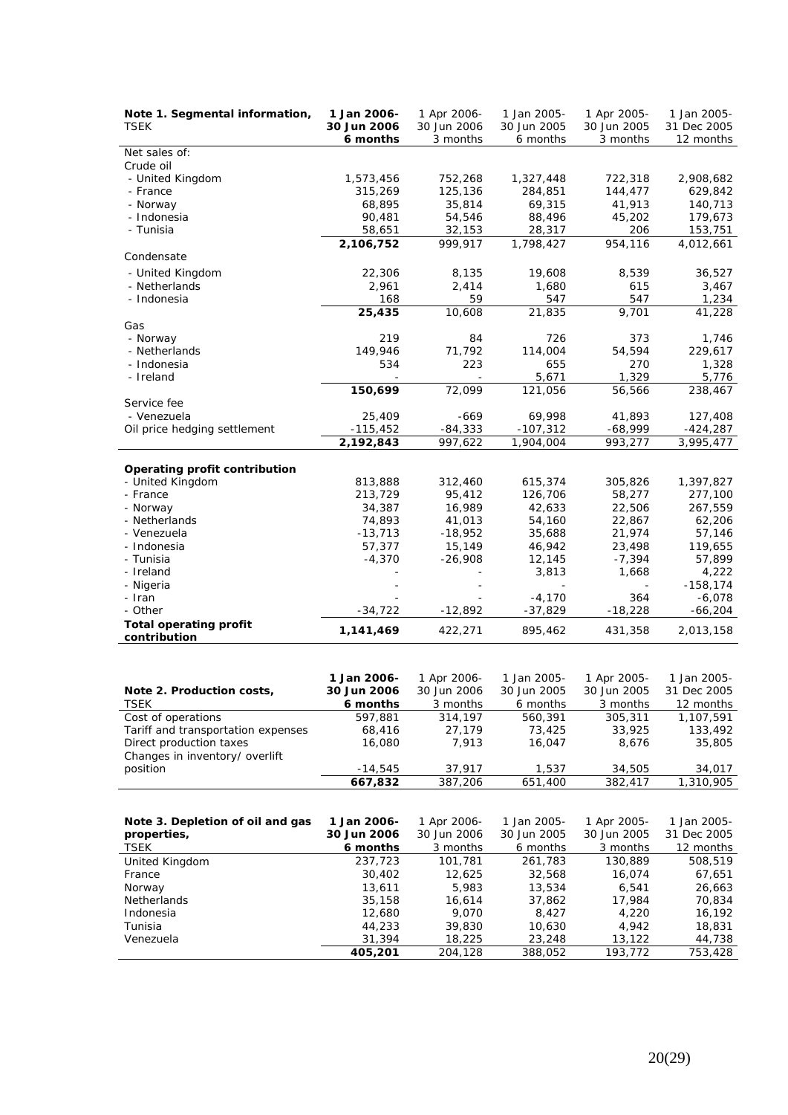| Note 1. Segmental information, | 1 Jan 2006- | 1 Apr 2006- | 1 Jan 2005- | 1 Apr 2005- | 1 Jan 2005- |
|--------------------------------|-------------|-------------|-------------|-------------|-------------|
| <b>TSEK</b>                    | 30 Jun 2006 | 30 Jun 2006 | 30 Jun 2005 | 30 Jun 2005 | 31 Dec 2005 |
|                                | 6 months    | 3 months    | 6 months    | 3 months    | 12 months   |
| Net sales of:                  |             |             |             |             |             |
| Crude oil                      |             |             |             |             |             |
| - United Kingdom               | 1,573,456   | 752,268     | 1,327,448   | 722,318     | 2,908,682   |
| - France                       | 315,269     | 125,136     | 284,851     | 144,477     | 629,842     |
| - Norway                       | 68,895      | 35,814      | 69,315      | 41,913      | 140,713     |
| - Indonesia                    | 90,481      | 54,546      | 88,496      | 45,202      | 179,673     |
| - Tunisia                      | 58,651      | 32,153      | 28,317      | 206         | 153,751     |
|                                | 2,106,752   | 999,917     | 1,798,427   | 954,116     | 4,012,661   |
| Condensate                     |             |             |             |             |             |
| - United Kingdom               | 22,306      | 8,135       | 19,608      | 8,539       | 36,527      |
| - Netherlands                  | 2,961       | 2,414       | 1,680       | 615         | 3,467       |
| - Indonesia                    | 168         | 59          | 547         | 547         | 1,234       |
|                                | 25,435      | 10,608      | 21,835      | 9,701       | 41,228      |
| Gas                            |             |             |             |             |             |
| - Norway                       | 219         | 84          | 726         | 373         | 1,746       |
| - Netherlands                  | 149,946     | 71,792      | 114,004     | 54,594      | 229,617     |
| - Indonesia                    | 534         | 223         | 655         | 270         | 1,328       |
| - Ireland                      |             |             | 5,671       | 1,329       | 5,776       |
|                                | 150,699     | 72,099      | 121,056     | 56,566      | 238,467     |
| Service fee                    |             |             |             |             |             |
| - Venezuela                    | 25,409      | $-669$      | 69,998      | 41,893      | 127,408     |
| Oil price hedging settlement   | $-115,452$  | $-84,333$   | $-107,312$  | $-68,999$   | $-424,287$  |
|                                | 2,192,843   | 997,622     | 1,904,004   | 993,277     | 3,995,477   |
|                                |             |             |             |             |             |
| Operating profit contribution  |             |             |             |             |             |
| - United Kingdom               | 813,888     | 312,460     | 615,374     | 305,826     | 1,397,827   |
| - France                       | 213,729     | 95,412      | 126,706     | 58,277      | 277,100     |
| - Norway                       | 34,387      | 16,989      | 42,633      | 22,506      | 267,559     |
| - Netherlands                  | 74,893      | 41,013      | 54,160      | 22,867      | 62,206      |
| - Venezuela                    | $-13,713$   | $-18,952$   | 35,688      | 21,974      | 57,146      |
| - Indonesia                    | 57,377      | 15,149      | 46,942      | 23,498      | 119,655     |
| - Tunisia                      | $-4,370$    | $-26,908$   | 12,145      | $-7,394$    | 57,899      |
| - Ireland                      |             |             | 3,813       | 1,668       | 4,222       |
| - Nigeria                      |             |             |             |             | $-158, 174$ |
| - Iran                         |             |             | $-4,170$    | 364         | $-6,078$    |
| - Other                        | $-34,722$   | $-12,892$   | $-37,829$   | $-18,228$   | $-66,204$   |
| <b>Total operating profit</b>  | 1,141,469   | 422,271     | 895,462     | 431,358     | 2,013,158   |
| contribution                   |             |             |             |             |             |

| Note 2. Production costs,          | 1 Jan 2006-<br>30 Jun 2006 | 1 Apr 2006-<br>30 Jun 2006 | 1 Jan 2005-<br>30 Jun 2005 | 1 Apr 2005-<br>30 Jun 2005 | 1 Jan 2005-<br>31 Dec 2005 |
|------------------------------------|----------------------------|----------------------------|----------------------------|----------------------------|----------------------------|
| <i>TSEK</i>                        | 6 months                   | 3 months                   | 6 months                   | 3 months                   | 12 months                  |
| Cost of operations                 | 597.881                    | 314,197                    | 560.391                    | 305,311                    | 1,107,591                  |
| Tariff and transportation expenses | 68,416                     | 27.179                     | 73,425                     | 33,925                     | 133,492                    |
| Direct production taxes            | 16,080                     | 7.913                      | 16.047                     | 8.676                      | 35,805                     |
| Changes in inventory/ overlift     |                            |                            |                            |                            |                            |
| position                           | $-14.545$                  | 37.917                     | 1.537                      | 34,505                     | 34,017                     |
|                                    | 667.832                    | 387.206                    | 651,400                    | 382,417                    | 1,310,905                  |

| Note 3. Depletion of oil and gas | 1 Jan 2006- | 1 Apr 2006- | 1 Jan 2005- | 1 Apr 2005- | 1 Jan 2005- |
|----------------------------------|-------------|-------------|-------------|-------------|-------------|
| properties,                      | 30 Jun 2006 | 30 Jun 2006 | 30 Jun 2005 | 30 Jun 2005 | 31 Dec 2005 |
| <i>TSEK</i>                      | 6 months    | 3 months    | 6 months    | 3 months    | 12 months   |
| United Kingdom                   | 237.723     | 101.781     | 261,783     | 130,889     | 508,519     |
| France                           | 30,402      | 12.625      | 32,568      | 16.074      | 67,651      |
| Norway                           | 13,611      | 5,983       | 13,534      | 6,541       | 26.663      |
| <b>Netherlands</b>               | 35,158      | 16.614      | 37.862      | 17.984      | 70.834      |
| Indonesia                        | 12,680      | 9.070       | 8.427       | 4,220       | 16,192      |
| Tunisia                          | 44,233      | 39,830      | 10.630      | 4.942       | 18,831      |
| Venezuela                        | 31,394      | 18,225      | 23,248      | 13,122      | 44,738      |
|                                  | 405,201     | 204,128     | 388,052     | 193,772     | 753,428     |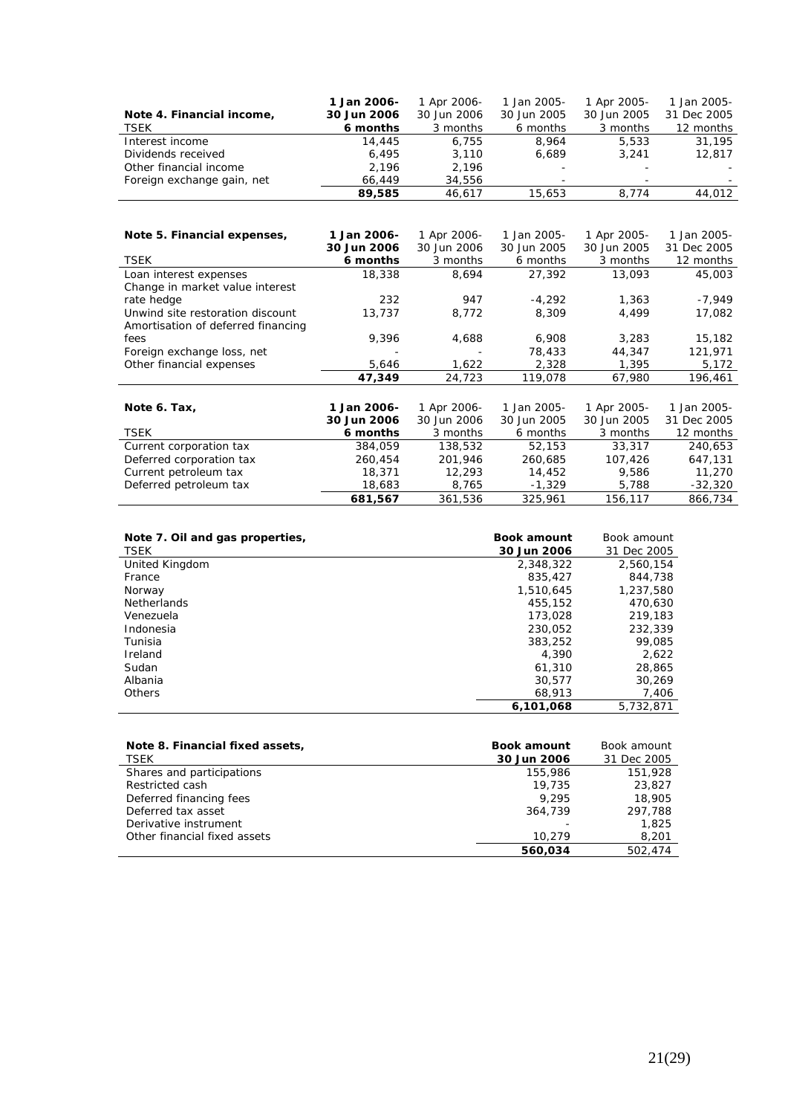|                            | 1 Jan 2006- | 1 Apr 2006- | 1 Jan 2005- | 1 Apr 2005- | 1 Jan 2005- |
|----------------------------|-------------|-------------|-------------|-------------|-------------|
| Note 4. Financial income,  | 30 Jun 2006 | 30 Jun 2006 | 30 Jun 2005 | 30 Jun 2005 | 31 Dec 2005 |
| TSEK                       | 6 months    | 3 months    | 6 months    | 3 months    | 12 months   |
| Interest income            | 14,445      | 6.755       | 8.964       | 5,533       | 31,195      |
| Dividends received         | 6.495       | 3.110       | 6.689       | 3,241       | 12,817      |
| Other financial income     | 2.196       | 2.196       |             |             |             |
| Foreign exchange gain, net | 66.449      | 34,556      |             |             |             |
|                            | 89,585      | 46.617      | 15,653      | 8.774       | 44,012      |

| Note 5. Financial expenses,        | 1 Jan 2006- | 1 Apr 2006- | 1 Jan 2005- | 1 Apr 2005- | 1 Jan 2005- |
|------------------------------------|-------------|-------------|-------------|-------------|-------------|
|                                    | 30 Jun 2006 | 30 Jun 2006 | 30 Jun 2005 | 30 Jun 2005 | 31 Dec 2005 |
| <b>TSEK</b>                        | 6 months    | 3 months    | 6 months    | 3 months    | 12 months   |
| Loan interest expenses             | 18,338      | 8,694       | 27,392      | 13,093      | 45,003      |
| Change in market value interest    |             |             |             |             |             |
| rate hedge                         | 232         | 947         | $-4,292$    | 1,363       | $-7,949$    |
| Unwind site restoration discount   | 13,737      | 8,772       | 8,309       | 4,499       | 17,082      |
| Amortisation of deferred financing |             |             |             |             |             |
| fees                               | 9,396       | 4,688       | 6,908       | 3,283       | 15,182      |
| Foreign exchange loss, net         |             |             | 78,433      | 44,347      | 121,971     |
| Other financial expenses           | 5,646       | 1,622       | 2,328       | 1,395       | 5,172       |
|                                    | 47,349      | 24,723      | 119,078     | 67,980      | 196,461     |
|                                    |             |             |             |             |             |
| Note 6. Tax,                       | 1 Jan 2006- | 1 Apr 2006- | 1 Jan 2005- | 1 Apr 2005- | 1 Jan 2005- |
|                                    | 30 Jun 2006 | 30 Jun 2006 | 30 Jun 2005 | 30 Jun 2005 | 31 Dec 2005 |
| <b>TSEK</b>                        | 6 months    | 3 months    | 6 months    | 3 months    | 12 months   |
| Current corporation tax            | 384,059     | 138,532     | 52,153      | 33,317      | 240,653     |
| Deferred corporation tax           | 260,454     | 201,946     | 260,685     | 107,426     | 647,131     |
| Current petroleum tax              | 18,371      | 12,293      | 14,452      | 9,586       | 11,270      |
| Deferred petroleum tax             | 18,683      | 8,765       | $-1,329$    | 5,788       | $-32,320$   |
|                                    | 681,567     | 361,536     | 325,961     | 156,117     | 866,734     |

| Note 7. Oil and gas properties,<br><i>TSEK</i> | <b>Book amount</b><br>30 Jun 2006 | Book amount<br>31 Dec 2005 |
|------------------------------------------------|-----------------------------------|----------------------------|
| United Kingdom                                 | 2,348,322                         | 2,560,154                  |
| France                                         | 835,427                           | 844,738                    |
| Norway                                         | 1,510,645                         | 1,237,580                  |
| <b>Netherlands</b>                             | 455,152                           | 470.630                    |
| Venezuela                                      | 173,028                           | 219,183                    |
| Indonesia                                      | 230.052                           | 232,339                    |
| Tunisia                                        | 383,252                           | 99,085                     |
| Ireland                                        | 4.390                             | 2,622                      |
| Sudan                                          | 61,310                            | 28,865                     |
| Albania                                        | 30.577                            | 30.269                     |
| Others                                         | 68,913                            | 7,406                      |
|                                                | 6.101.068                         | 5,732,871                  |

| Note 8. Financial fixed assets,<br>TSEK | <b>Book amount</b><br>30 Jun 2006 | Book amount<br>31 Dec 2005 |
|-----------------------------------------|-----------------------------------|----------------------------|
| Shares and participations               | 155,986                           | 151,928                    |
| Restricted cash                         | 19,735                            | 23,827                     |
| Deferred financing fees                 | 9.295                             | 18,905                     |
| Deferred tax asset                      | 364,739                           | 297,788                    |
| Derivative instrument                   |                                   | 1,825                      |
| Other financial fixed assets            | 10.279                            | 8,201                      |
|                                         | 560.034                           | 502,474                    |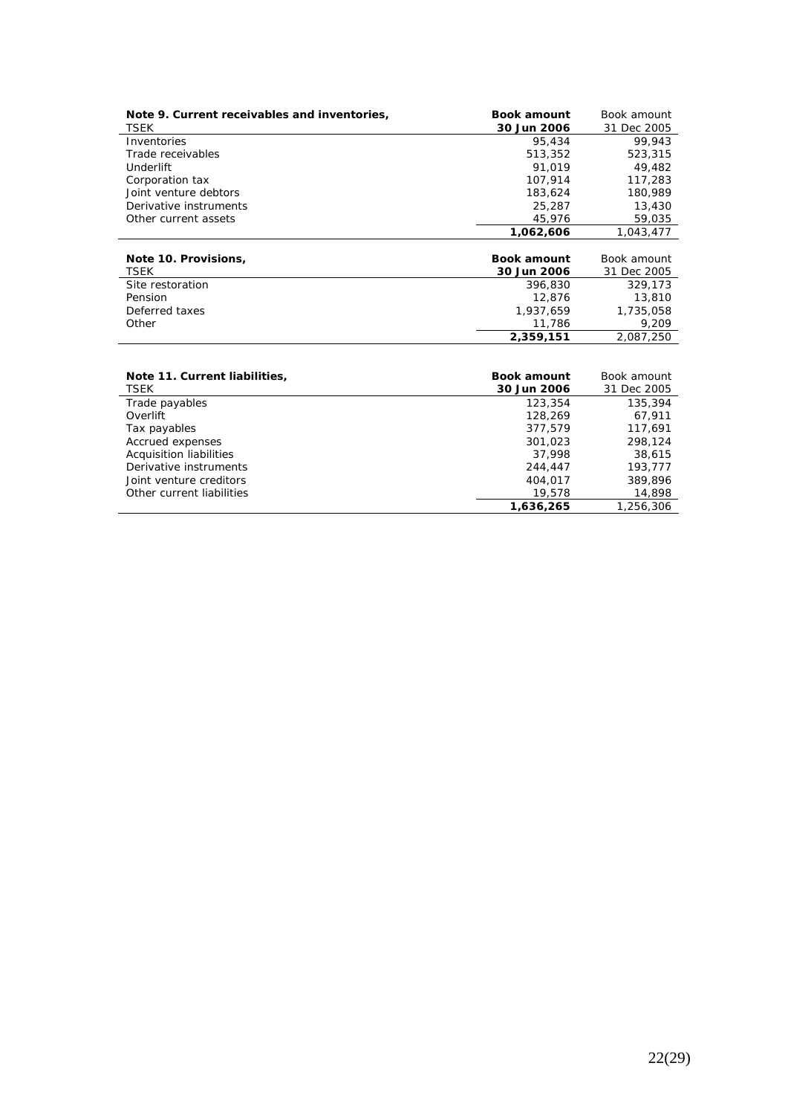| Note 9. Current receivables and inventories, | <b>Book amount</b> | Book amount |
|----------------------------------------------|--------------------|-------------|
| <i>TSEK</i>                                  | 30 Jun 2006        | 31 Dec 2005 |
| Inventories                                  | 95,434             | 99.943      |
| Trade receivables                            | 513,352            | 523,315     |
| <b>Underlift</b>                             | 91,019             | 49,482      |
| Corporation tax                              | 107,914            | 117,283     |
| Joint venture debtors                        | 183,624            | 180,989     |
| Derivative instruments                       | 25,287             | 13,430      |
| Other current assets                         | 45,976             | 59,035      |
|                                              | 1,062,606          | 1,043,477   |
|                                              |                    |             |
| Note 10. Provisions,                         | <b>Book amount</b> | Book amount |
| <i>TSEK</i>                                  | 30 Jun 2006        | 31 Dec 2005 |
| Site restoration                             | 396,830            | 329,173     |
| Pension                                      | 12,876             | 13,810      |
| Deferred taxes                               | 1,937,659          | 1,735,058   |
| Other                                        | 11,786             | 9,209       |
|                                              | 2,359,151          | 2,087,250   |
|                                              |                    |             |
| Note 11. Current liabilities,                | <b>Book amount</b> | Book amount |
| <b>TSEK</b>                                  | 30 Jun 2006        | 31 Dec 2005 |
| Trade navables                               | 123.354            | 135.394     |

| Acquisition liabilities<br>Derivative instruments | 37,998<br>244,447 | 38,615<br>193,777 |
|---------------------------------------------------|-------------------|-------------------|
| Joint venture creditors                           | 404.017           | 389,896           |
| Other current liabilities                         | 19,578            | 14,898            |
|                                                   | 1,636,265         | 1,256,306         |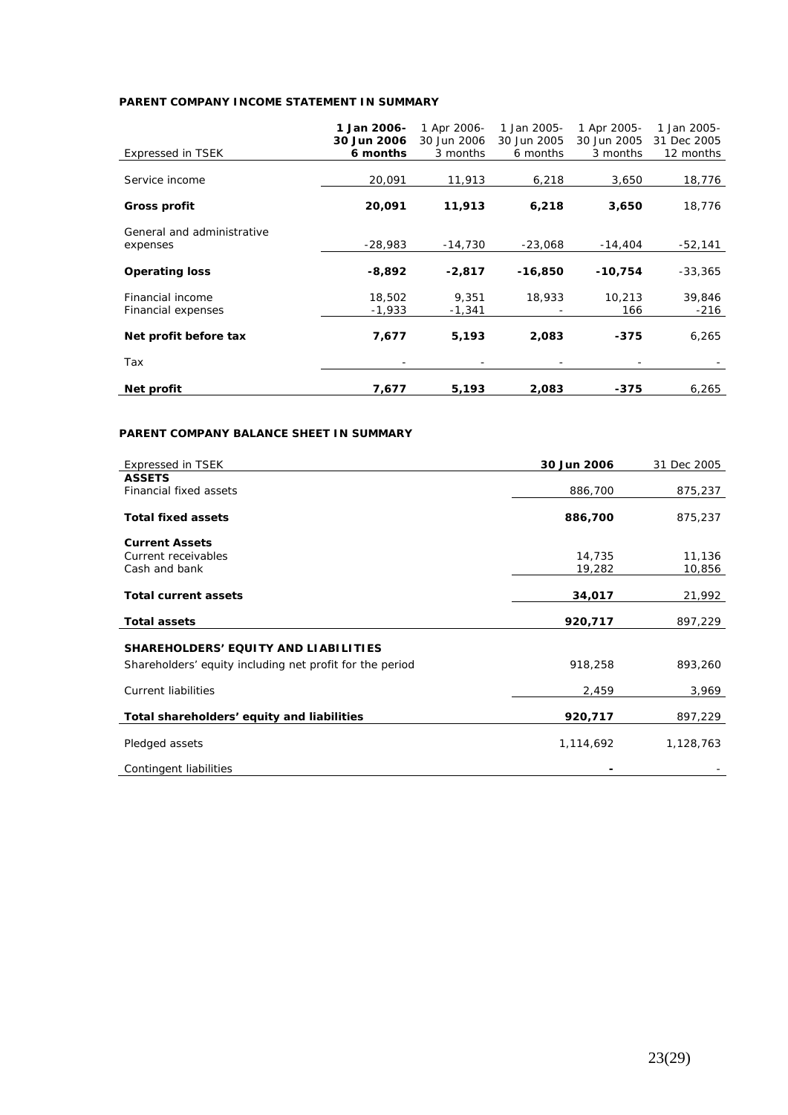# **PARENT COMPANY INCOME STATEMENT IN SUMMARY**

|                            | 1 Jan 2006- | 1 Apr 2006- | 1 Jan 2005- | 1 Apr 2005- | 1 Jan 2005- |
|----------------------------|-------------|-------------|-------------|-------------|-------------|
|                            | 30 Jun 2006 | 30 Jun 2006 | 30 Jun 2005 | 30 Jun 2005 | 31 Dec 2005 |
| <b>Expressed in TSEK</b>   | 6 months    | 3 months    | 6 months    | 3 months    | 12 months   |
|                            |             |             |             |             |             |
| Service income             | 20,091      | 11,913      | 6,218       | 3,650       | 18,776      |
|                            |             |             |             |             |             |
| <b>Gross profit</b>        | 20,091      | 11,913      | 6,218       | 3,650       | 18,776      |
|                            |             |             |             |             |             |
| General and administrative |             |             |             |             |             |
| expenses                   | $-28,983$   | $-14,730$   | $-23,068$   | $-14,404$   | -52,141     |
|                            |             |             |             |             |             |
| <b>Operating loss</b>      | $-8,892$    | $-2,817$    | $-16,850$   | $-10,754$   | $-33,365$   |
|                            |             |             |             |             |             |
| Financial income           | 18,502      | 9.351       | 18,933      | 10.213      | 39,846      |
| Financial expenses         | $-1,933$    | $-1,341$    |             | 166         | $-216$      |
|                            |             |             |             |             |             |
| Net profit before tax      | 7,677       | 5,193       | 2,083       | -375        | 6,265       |
|                            |             |             |             |             |             |
| Tax                        |             |             |             |             |             |
|                            |             |             |             |             |             |
| Net profit                 | 7,677       | 5,193       | 2,083       | -375        | 6,265       |

# **PARENT COMPANY BALANCE SHEET IN SUMMARY**

| <b>Expressed in TSEK</b>                                 | 30 Jun 2006 | 31 Dec 2005 |
|----------------------------------------------------------|-------------|-------------|
| <b>ASSETS</b>                                            |             |             |
| Financial fixed assets                                   | 886,700     | 875,237     |
| <b>Total fixed assets</b>                                | 886,700     | 875,237     |
| <b>Current Assets</b>                                    |             |             |
| Current receivables                                      | 14,735      | 11,136      |
| Cash and bank                                            | 19,282      | 10,856      |
|                                                          |             |             |
| <b>Total current assets</b>                              | 34,017      | 21,992      |
| <b>Total assets</b>                                      | 920,717     | 897,229     |
| SHAREHOLDERS' EQUITY AND LIABILITIES                     |             |             |
| Shareholders' equity including net profit for the period | 918,258     | 893,260     |
| <b>Current liabilities</b>                               | 2,459       | 3,969       |
| Total shareholders' equity and liabilities               | 920,717     | 897,229     |
| Pledged assets                                           | 1,114,692   | 1,128,763   |
| Contingent liabilities                                   |             |             |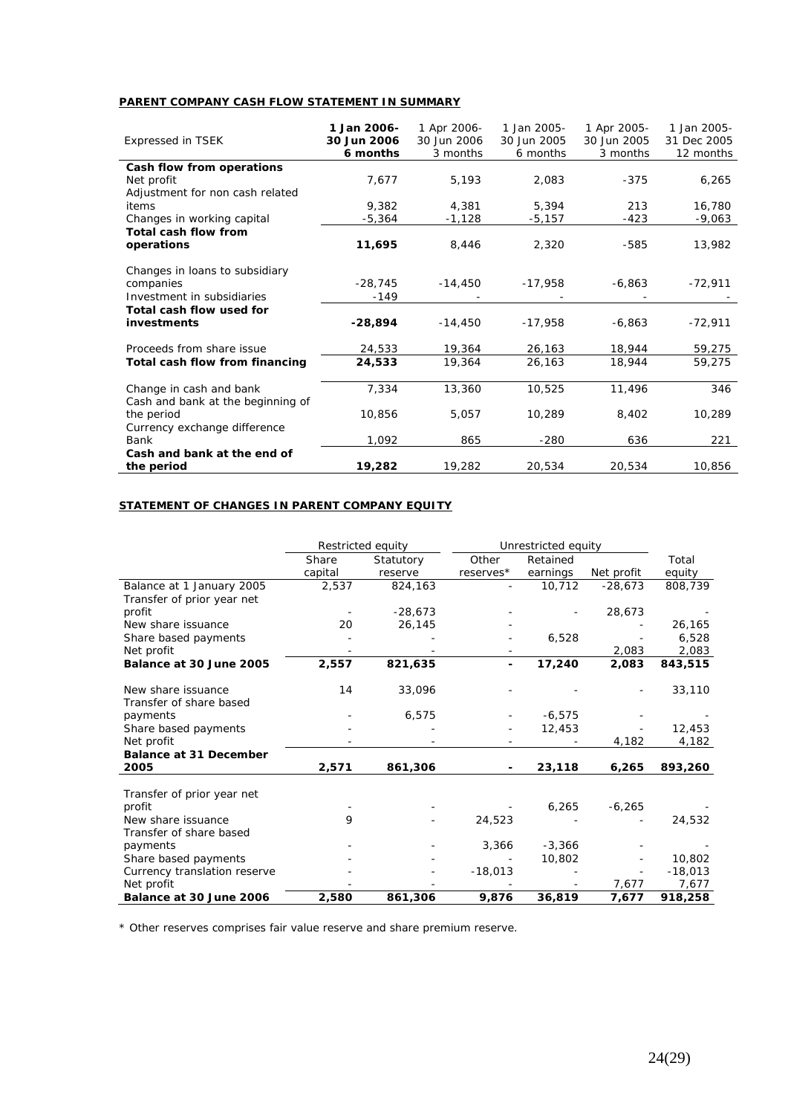# **PARENT COMPANY CASH FLOW STATEMENT IN SUMMARY**

| <b>Expressed in TSEK</b>          | 1 Jan 2006-<br>30 Jun 2006<br>6 months | 1 Apr 2006-<br>30 Jun 2006<br>3 months | 1 Jan 2005-<br>30 Jun 2005<br>6 months | 1 Apr 2005-<br>30 Jun 2005<br>3 months | 1 Jan 2005-<br>31 Dec 2005<br>12 months |
|-----------------------------------|----------------------------------------|----------------------------------------|----------------------------------------|----------------------------------------|-----------------------------------------|
| Cash flow from operations         |                                        |                                        |                                        |                                        |                                         |
| Net profit                        | 7,677                                  | 5,193                                  | 2.083                                  | $-375$                                 | 6,265                                   |
| Adjustment for non cash related   |                                        |                                        |                                        |                                        |                                         |
| items                             | 9.382                                  | 4.381                                  | 5,394                                  | 213                                    | 16,780                                  |
| Changes in working capital        | $-5,364$                               | $-1,128$                               | -5,157                                 | $-423$                                 | $-9,063$                                |
| <b>Total cash flow from</b>       |                                        |                                        |                                        |                                        |                                         |
| operations                        | 11,695                                 | 8,446                                  | 2,320                                  | $-585$                                 | 13,982                                  |
| Changes in loans to subsidiary    |                                        |                                        |                                        |                                        |                                         |
| companies                         | $-28,745$                              | $-14,450$                              | $-17,958$                              | $-6,863$                               | $-72,911$                               |
| Investment in subsidiaries        | $-149$                                 |                                        |                                        |                                        |                                         |
| Total cash flow used for          |                                        |                                        |                                        |                                        |                                         |
| investments                       | $-28,894$                              | $-14.450$                              | $-17,958$                              | $-6,863$                               | $-72,911$                               |
| Proceeds from share issue         | 24,533                                 | 19,364                                 | 26,163                                 | 18,944                                 | 59,275                                  |
| Total cash flow from financing    | 24,533                                 | 19,364                                 | 26,163                                 | 18,944                                 | 59,275                                  |
| Change in cash and bank           | 7,334                                  | 13,360                                 | 10,525                                 | 11,496                                 | 346                                     |
| Cash and bank at the beginning of |                                        |                                        |                                        |                                        |                                         |
| the period                        | 10,856                                 | 5,057                                  | 10,289                                 | 8,402                                  | 10,289                                  |
| Currency exchange difference      |                                        |                                        |                                        |                                        |                                         |
| Bank                              | 1,092                                  | 865                                    | $-280$                                 | 636                                    | 221                                     |
| Cash and bank at the end of       |                                        |                                        |                                        |                                        |                                         |
| the period                        | 19,282                                 | 19,282                                 | 20,534                                 | 20,534                                 | 10,856                                  |

# **STATEMENT OF CHANGES IN PARENT COMPANY EQUITY**

|                               | Restricted equity |           | Unrestricted equity |          |            |           |
|-------------------------------|-------------------|-----------|---------------------|----------|------------|-----------|
|                               | Share             | Statutory | Other               | Retained |            | Total     |
|                               | capital           | reserve   | reserves*           | earnings | Net profit | equity    |
| Balance at 1 January 2005     | 2,537             | 824,163   |                     | 10,712   | $-28.673$  | 808,739   |
| Transfer of prior year net    |                   |           |                     |          |            |           |
| profit                        |                   | $-28,673$ |                     |          | 28,673     |           |
| New share issuance            | 20                | 26,145    |                     |          |            | 26,165    |
| Share based payments          |                   |           |                     | 6,528    |            | 6,528     |
| Net profit                    |                   |           |                     |          | 2,083      | 2,083     |
| Balance at 30 June 2005       | 2,557             | 821,635   |                     | 17,240   | 2,083      | 843,515   |
|                               |                   |           |                     |          |            |           |
| New share issuance            | 14                | 33,096    |                     |          |            | 33,110    |
| Transfer of share based       |                   |           |                     |          |            |           |
| payments                      |                   | 6,575     |                     | $-6,575$ |            |           |
| Share based payments          |                   |           |                     | 12,453   |            | 12,453    |
| Net profit                    |                   |           |                     |          | 4,182      | 4,182     |
| <b>Balance at 31 December</b> |                   |           |                     |          |            |           |
| 2005                          | 2,571             | 861,306   |                     | 23,118   | 6,265      | 893,260   |
|                               |                   |           |                     |          |            |           |
| Transfer of prior year net    |                   |           |                     |          |            |           |
| profit                        |                   |           |                     | 6,265    | $-6,265$   |           |
| New share issuance            | 9                 |           | 24,523              |          |            | 24,532    |
| Transfer of share based       |                   |           |                     |          |            |           |
| payments                      |                   |           | 3,366               | $-3,366$ |            |           |
| Share based payments          |                   |           |                     | 10,802   |            | 10,802    |
| Currency translation reserve  |                   |           | $-18,013$           |          |            | $-18,013$ |
| Net profit                    |                   |           |                     |          | 7,677      | 7,677     |
| Balance at 30 June 2006       | 2,580             | 861,306   | 9,876               | 36,819   | 7,677      | 918,258   |

\* Other reserves comprises fair value reserve and share premium reserve.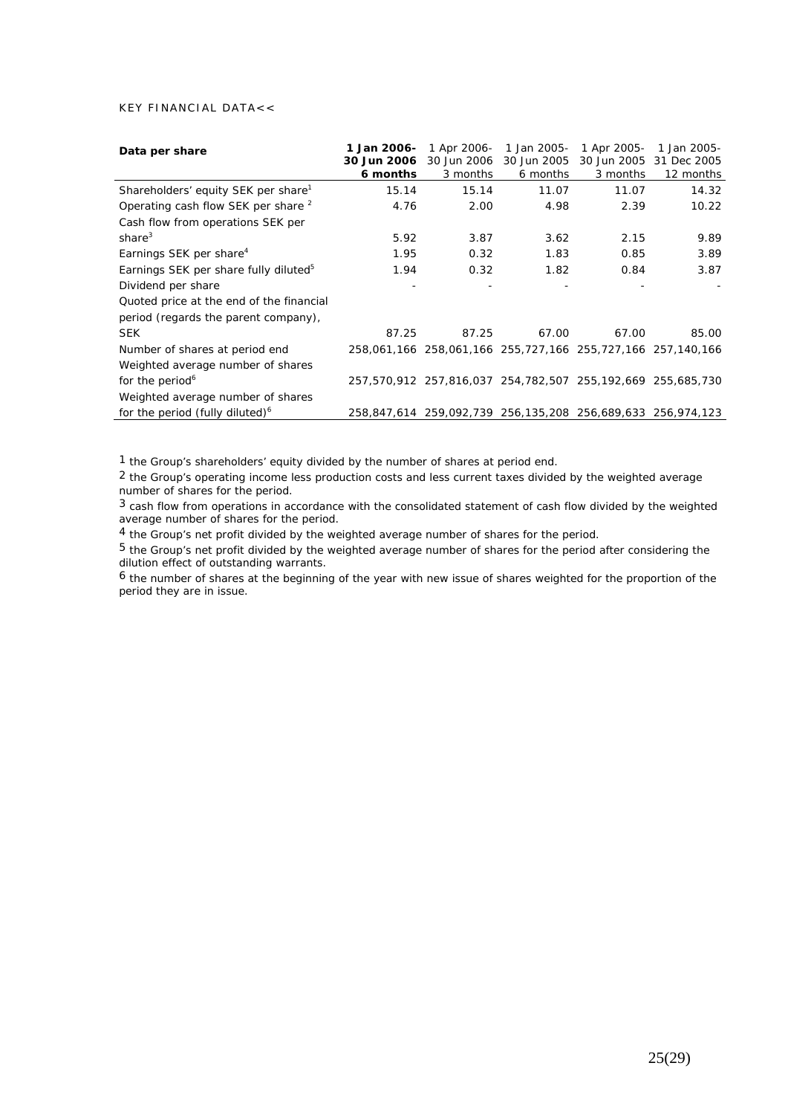## KEY FINANCIAL DATA<<

| Data per share                                    | 1 Jan 2006-<br>30 Jun 2006<br>6 months | 1 Apr 2006-<br>30 Jun 2006<br>3 months                      | 1 Jan 2005-<br>30 Jun 2005<br>6 months | 1 Apr 2005-<br>30 Jun 2005<br>3 months | 1 Jan 2005-<br>31 Dec 2005<br>12 months |
|---------------------------------------------------|----------------------------------------|-------------------------------------------------------------|----------------------------------------|----------------------------------------|-----------------------------------------|
| Shareholders' equity SEK per share <sup>1</sup>   | 15.14                                  | 15.14                                                       | 11.07                                  | 11.07                                  | 14.32                                   |
| Operating cash flow SEK per share <sup>2</sup>    | 4.76                                   | 2.00                                                        | 4.98                                   | 2.39                                   | 10.22                                   |
| Cash flow from operations SEK per                 |                                        |                                                             |                                        |                                        |                                         |
| share $3$                                         | 5.92                                   | 3.87                                                        | 3.62                                   | 2.15                                   | 9.89                                    |
| Earnings SEK per share <sup>4</sup>               | 1.95                                   | 0.32                                                        | 1.83                                   | 0.85                                   | 3.89                                    |
| Earnings SEK per share fully diluted <sup>5</sup> | 1.94                                   | 0.32                                                        | 1.82                                   | 0.84                                   | 3.87                                    |
| Dividend per share                                |                                        |                                                             |                                        |                                        |                                         |
| Quoted price at the end of the financial          |                                        |                                                             |                                        |                                        |                                         |
| period (regards the parent company),              |                                        |                                                             |                                        |                                        |                                         |
| <b>SEK</b>                                        | 87.25                                  | 87.25                                                       | 67.00                                  | 67.00                                  | 85.00                                   |
| Number of shares at period end                    |                                        | 258,061,166 258,061,166 255,727,166 255,727,166 257,140,166 |                                        |                                        |                                         |
| Weighted average number of shares                 |                                        |                                                             |                                        |                                        |                                         |
| for the period <sup>6</sup>                       |                                        | 257,570,912 257,816,037 254,782,507 255,192,669 255,685,730 |                                        |                                        |                                         |
| Weighted average number of shares                 |                                        |                                                             |                                        |                                        |                                         |
| for the period (fully diluted) <sup>6</sup>       |                                        | 258,847,614 259,092,739 256,135,208 256,689,633 256,974,123 |                                        |                                        |                                         |

1 the Group's shareholders' equity divided by the number of shares at period end.

<sup>2</sup> the Group's operating income less production costs and less current taxes divided by the weighted average number of shares for the period.

3 cash flow from operations in accordance with the consolidated statement of cash flow divided by the weighted average number of shares for the period.

4 the Group's net profit divided by the weighted average number of shares for the period.

5 the Group's net profit divided by the weighted average number of shares for the period after considering the dilution effect of outstanding warrants.

6 the number of shares at the beginning of the year with new issue of shares weighted for the proportion of the period they are in issue.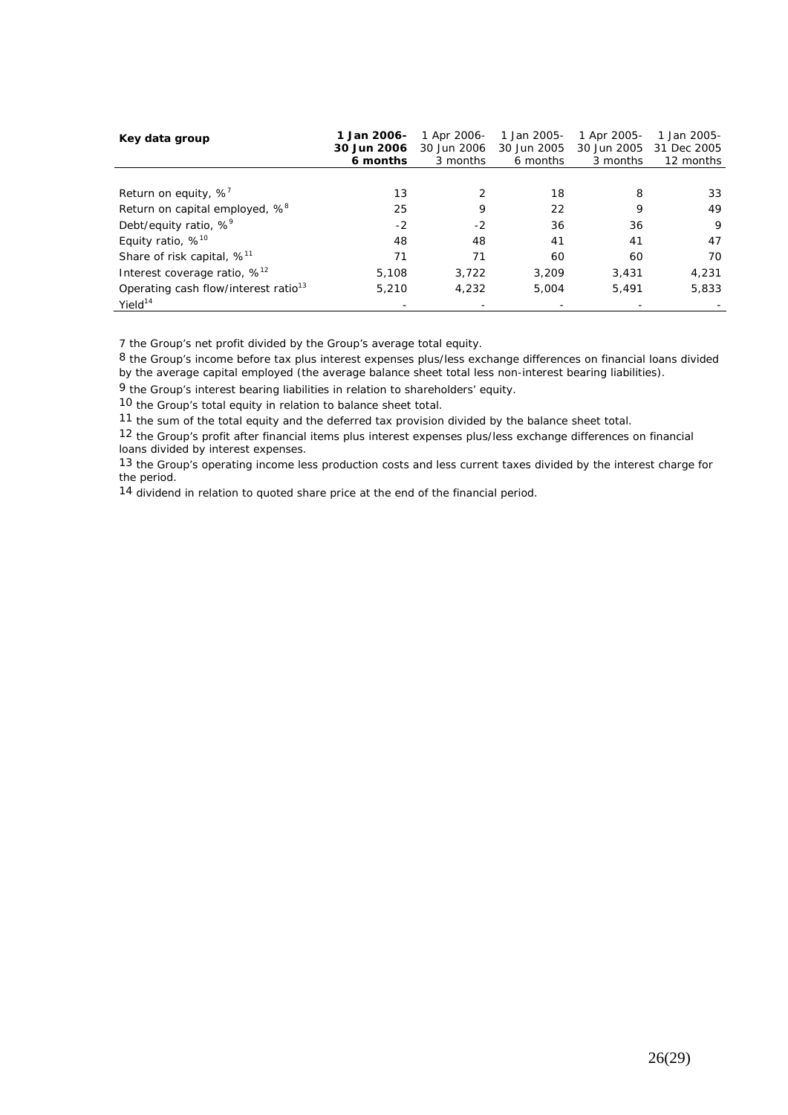| Key data group                                   | 1 Jan 2006-<br>30 Jun 2006<br>6 months | 1 Apr 2006-<br>30 Jun 2006<br>3 months | 1 Jan 2005-<br>30 Jun 2005<br>6 months | 1 Apr 2005-<br>30 Jun 2005<br>3 months | 1 Jan 2005-<br>31 Dec 2005<br>12 months |
|--------------------------------------------------|----------------------------------------|----------------------------------------|----------------------------------------|----------------------------------------|-----------------------------------------|
|                                                  |                                        |                                        |                                        |                                        |                                         |
| Return on equity, $\%$ '                         | 13                                     |                                        | 18                                     | 8                                      | 33                                      |
| Return on capital employed, % <sup>8</sup>       | 25                                     | 9                                      | 22                                     | 9                                      | 49                                      |
| Debt/equity ratio, % <sup>9</sup>                | $-2$                                   | $-2$                                   | 36                                     | 36                                     | 9                                       |
| Equity ratio, $%^{10}$                           | 48                                     | 48                                     | 41                                     | 41                                     | 47                                      |
| Share of risk capital, % <sup>11</sup>           | 71                                     | 71                                     | 60                                     | 60                                     | 70                                      |
| Interest coverage ratio, $\%$ <sup>12</sup>      | 5,108                                  | 3.722                                  | 3,209                                  | 3.431                                  | 4,231                                   |
| Operating cash flow/interest ratio <sup>13</sup> | 5,210                                  | 4.232                                  | 5.004                                  | 5.491                                  | 5,833                                   |
| Yield <sup>14</sup>                              |                                        |                                        |                                        |                                        |                                         |

7 the Group's net profit divided by the Group's average total equity.

 $8$  the Group's income before tax plus interest expenses plus/less exchange differences on financial loans divided by the average capital employed (the average balance sheet total less non-interest bearing liabilities).

9 the Group's interest bearing liabilities in relation to shareholders' equity.

10 the Group's total equity in relation to balance sheet total.

11 the sum of the total equity and the deferred tax provision divided by the balance sheet total.

12 the Group's profit after financial items plus interest expenses plus/less exchange differences on financial loans divided by interest expenses.

13 the Group's operating income less production costs and less current taxes divided by the interest charge for the period.

14 dividend in relation to quoted share price at the end of the financial period.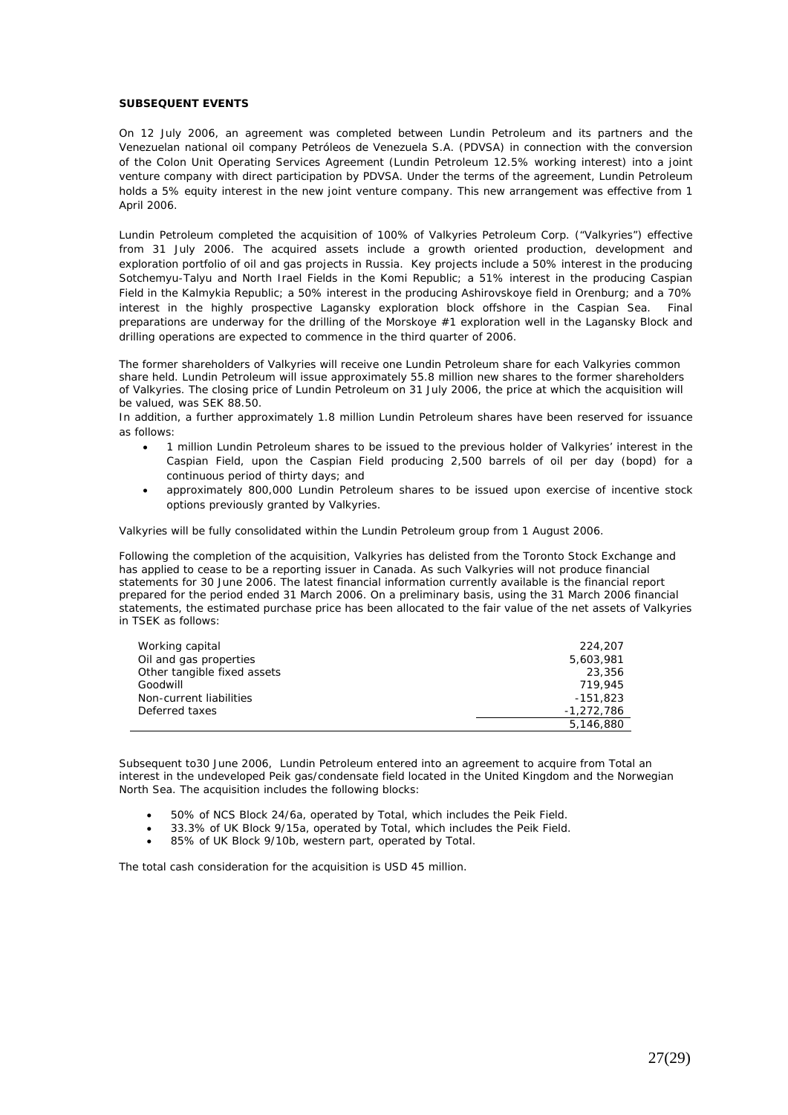#### **SUBSEQUENT EVENTS**

On 12 July 2006, an agreement was completed between Lundin Petroleum and its partners and the Venezuelan national oil company Petróleos de Venezuela S.A. (PDVSA) in connection with the conversion of the Colon Unit Operating Services Agreement (Lundin Petroleum 12.5% working interest) into a joint venture company with direct participation by PDVSA. Under the terms of the agreement, Lundin Petroleum holds a 5% equity interest in the new joint venture company. This new arrangement was effective from 1 April 2006.

Lundin Petroleum completed the acquisition of 100% of Valkyries Petroleum Corp. ("Valkyries") effective from 31 July 2006. The acquired assets include a growth oriented production, development and exploration portfolio of oil and gas projects in Russia. Key projects include a 50% interest in the producing Sotchemyu-Talyu and North Irael Fields in the Komi Republic; a 51% interest in the producing Caspian Field in the Kalmykia Republic; a 50% interest in the producing Ashirovskoye field in Orenburg; and a 70% interest in the highly prospective Lagansky exploration block offshore in the Caspian Sea. Final preparations are underway for the drilling of the Morskoye #1 exploration well in the Lagansky Block and drilling operations are expected to commence in the third quarter of 2006.

The former shareholders of Valkyries will receive one Lundin Petroleum share for each Valkyries common share held. Lundin Petroleum will issue approximately 55.8 million new shares to the former shareholders of Valkyries. The closing price of Lundin Petroleum on 31 July 2006, the price at which the acquisition will be valued, was SEK 88.50.

In addition, a further approximately 1.8 million Lundin Petroleum shares have been reserved for issuance as follows:

- 1 million Lundin Petroleum shares to be issued to the previous holder of Valkyries' interest in the Caspian Field, upon the Caspian Field producing 2,500 barrels of oil per day (bopd) for a continuous period of thirty days; and
- approximately 800,000 Lundin Petroleum shares to be issued upon exercise of incentive stock options previously granted by Valkyries.

Valkyries will be fully consolidated within the Lundin Petroleum group from 1 August 2006.

Following the completion of the acquisition, Valkyries has delisted from the Toronto Stock Exchange and has applied to cease to be a reporting issuer in Canada. As such Valkyries will not produce financial statements for 30 June 2006. The latest financial information currently available is the financial report prepared for the period ended 31 March 2006. On a preliminary basis, using the 31 March 2006 financial statements, the estimated purchase price has been allocated to the fair value of the net assets of Valkyries in TSEK as follows:

| Working capital             | 224,207      |
|-----------------------------|--------------|
| Oil and gas properties      | 5,603,981    |
| Other tangible fixed assets | 23,356       |
| Goodwill                    | 719,945      |
| Non-current liabilities     | $-151.823$   |
| Deferred taxes              | $-1.272.786$ |
|                             | 5,146,880    |

Subsequent to30 June 2006, Lundin Petroleum entered into an agreement to acquire from Total an interest in the undeveloped Peik gas/condensate field located in the United Kingdom and the Norwegian North Sea. The acquisition includes the following blocks:

- 50% of NCS Block 24/6a, operated by Total, which includes the Peik Field.
- 33.3% of UK Block 9/15a, operated by Total, which includes the Peik Field.
- 85% of UK Block 9/10b, western part, operated by Total.

The total cash consideration for the acquisition is USD 45 million.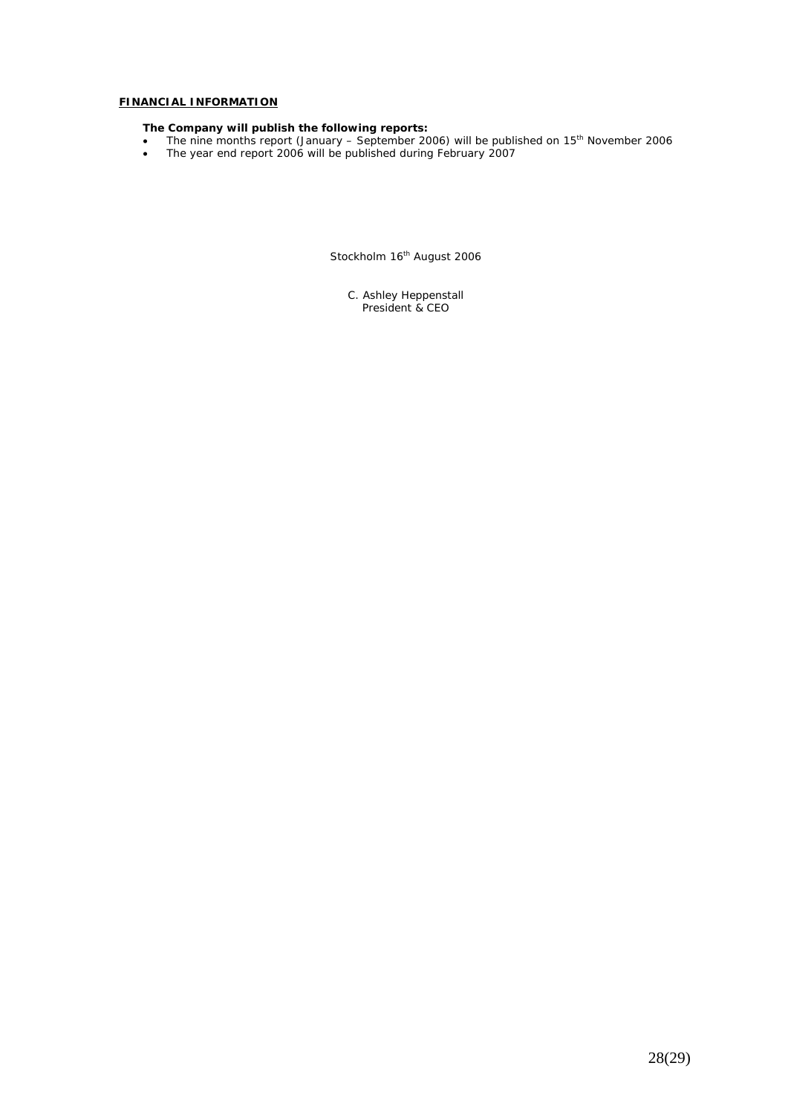# **FINANCIAL INFORMATION**

#### **The Company will publish the following reports:**

- The nine months report (January September 2006) will be published on  $15<sup>th</sup>$  November 2006
- The year end report 2006 will be published during February 2007

Stockholm 16<sup>th</sup> August 2006

C. Ashley Heppenstall President & CEO